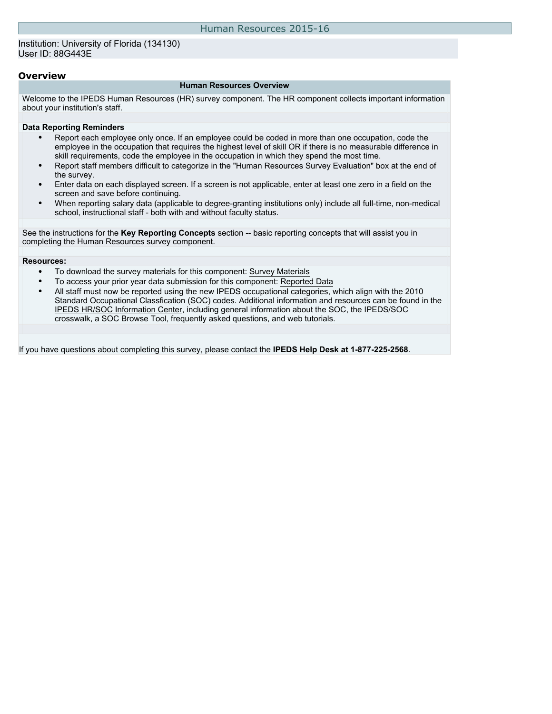#### Institution: University of Florida (134130) User ID: 88G443E

### **Overview**

#### **Human Resources Overview**

Welcome to the IPEDS Human Resources (HR) survey component. The HR component collects important information about your institution's staff.

#### **Data Reporting Reminders**

- Report each employee only once. If an employee could be coded in more than one occupation, code the employee in the occupation that requires the highest level of skill OR if there is no measurable difference in skill requirements, code the employee in the occupation in which they spend the most time.
- Report staff members difficult to categorize in the "Human Resources Survey Evaluation" box at the end of the survey.
- Enter data on each displayed screen. If a screen is not applicable, enter at least one zero in a field on the screen and save before continuing.
- When reporting salary data (applicable to degree-granting institutions only) include all full-time, non-medical school, instructional staff - both with and without faculty status.

See the instructions for the **Key Reporting Concepts** section -- basic reporting concepts that will assist you in completing the Human Resources survey component.

#### **Resources:**

- To download the survey materials for this component: [Survey Materials](https://surveys.nces.ed.gov/ipeds/VisIndex.aspx)
- To access your prior year data submission for this component: [Reported Data](http://192.168.102.153/IPEDS/PriorYearDataRedirect.aspx?survey_id=1)
- All staff must now be reported using the new IPEDS occupational categories, which align with the 2010 Standard Occupational Classfication (SOC) codes. Additional information and resources can be found in the [IPEDS HR/SOC Information Center](http://nces.ed.gov/ipeds/Section/resources_soc), including general information about the SOC, the IPEDS/SOC crosswalk, a SOC Browse Tool, frequently asked questions, and web tutorials.

If you have questions about completing this survey, please contact the **IPEDS Help Desk at 1-877-225-2568**.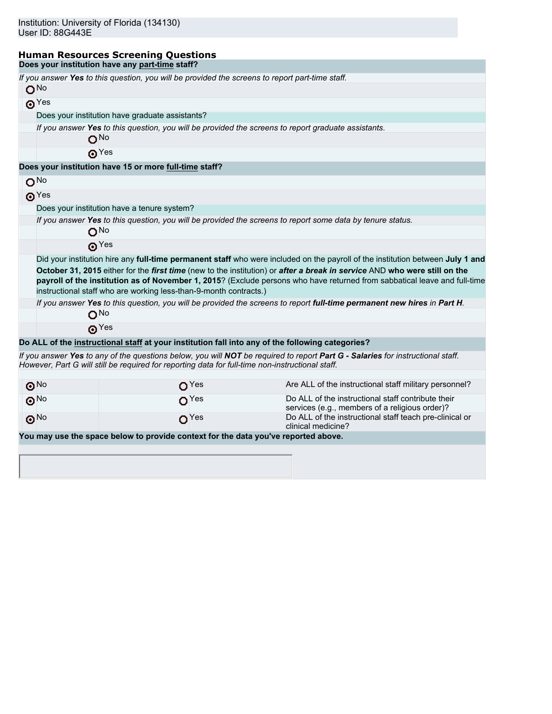# **Human Resources Screening Questions**

|                        | Does your institution have any part-time staff?                                                     |                                                                                                                                                                                                                                                                                                                                                                                          |
|------------------------|-----------------------------------------------------------------------------------------------------|------------------------------------------------------------------------------------------------------------------------------------------------------------------------------------------------------------------------------------------------------------------------------------------------------------------------------------------------------------------------------------------|
|                        | If you answer Yes to this question, you will be provided the screens to report part-time staff.     |                                                                                                                                                                                                                                                                                                                                                                                          |
| O <sub>No</sub>        |                                                                                                     |                                                                                                                                                                                                                                                                                                                                                                                          |
| $\odot$ <sup>Yes</sup> |                                                                                                     |                                                                                                                                                                                                                                                                                                                                                                                          |
|                        | Does your institution have graduate assistants?                                                     |                                                                                                                                                                                                                                                                                                                                                                                          |
|                        | If you answer Yes to this question, you will be provided the screens to report graduate assistants. |                                                                                                                                                                                                                                                                                                                                                                                          |
|                        | O <sub>No</sub>                                                                                     |                                                                                                                                                                                                                                                                                                                                                                                          |
|                        | $\odot$ Yes                                                                                         |                                                                                                                                                                                                                                                                                                                                                                                          |
|                        | Does your institution have 15 or more full-time staff?                                              |                                                                                                                                                                                                                                                                                                                                                                                          |
| O <sub>No</sub>        |                                                                                                     |                                                                                                                                                                                                                                                                                                                                                                                          |
| $\odot$ Yes            |                                                                                                     |                                                                                                                                                                                                                                                                                                                                                                                          |
|                        | Does your institution have a tenure system?                                                         |                                                                                                                                                                                                                                                                                                                                                                                          |
|                        |                                                                                                     | If you answer Yes to this question, you will be provided the screens to report some data by tenure status.                                                                                                                                                                                                                                                                               |
| O <sub>No</sub>        |                                                                                                     |                                                                                                                                                                                                                                                                                                                                                                                          |
|                        | $\boldsymbol{\Omega}$ Yes                                                                           |                                                                                                                                                                                                                                                                                                                                                                                          |
|                        | instructional staff who are working less-than-9-month contracts.)                                   | Did your institution hire any full-time permanent staff who were included on the payroll of the institution between July 1 and<br>October 31, 2015 either for the first time (new to the institution) or after a break in service AND who were still on the<br>payroll of the institution as of November 1, 2015? (Exclude persons who have returned from sabbatical leave and full-time |
|                        |                                                                                                     | If you answer Yes to this question, you will be provided the screens to report full-time permanent new hires in Part H.                                                                                                                                                                                                                                                                  |
| $O^{No}$               |                                                                                                     |                                                                                                                                                                                                                                                                                                                                                                                          |
|                        | $\odot$ Yes                                                                                         |                                                                                                                                                                                                                                                                                                                                                                                          |
|                        | Do ALL of the instructional staff at your institution fall into any of the following categories?    |                                                                                                                                                                                                                                                                                                                                                                                          |
|                        | However, Part G will still be required for reporting data for full-time non-instructional staff.    | If you answer Yes to any of the questions below, you will NOT be required to report Part G - Salaries for instructional staff.                                                                                                                                                                                                                                                           |
| $\odot$ <sup>No</sup>  | O <sup>Yes</sup>                                                                                    | Are ALL of the instructional staff military personnel?                                                                                                                                                                                                                                                                                                                                   |
| $\odot$ <sup>No</sup>  | O <sup>Yes</sup>                                                                                    | Do ALL of the instructional staff contribute their<br>services (e.g., members of a religious order)?                                                                                                                                                                                                                                                                                     |
| $\odot$ No             | O <sup>Yes</sup>                                                                                    | Do ALL of the instructional staff teach pre-clinical or<br>clinical medicine?                                                                                                                                                                                                                                                                                                            |
|                        | You may use the space below to provide context for the data you've reported above.                  |                                                                                                                                                                                                                                                                                                                                                                                          |
|                        |                                                                                                     |                                                                                                                                                                                                                                                                                                                                                                                          |
|                        |                                                                                                     |                                                                                                                                                                                                                                                                                                                                                                                          |
|                        |                                                                                                     |                                                                                                                                                                                                                                                                                                                                                                                          |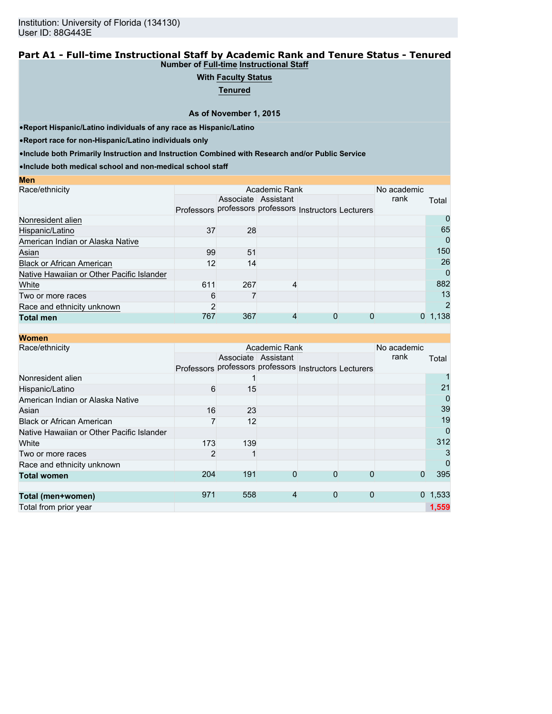### **Part A1 - Full-time Instructional Staff by Academic Rank and Tenure Status - Tenured Number of Full-time Instructional Staff**

## **With Faculty Status**

**Tenured**

**As of November 1, 2015**

•**Report Hispanic/Latino individuals of any race as Hispanic/Latino**

•**Report race for non-Hispanic/Latino individuals only**

**Men**

•**Include both Primarily Instruction and Instruction Combined with Research and/or Public Service**

•**Include both medical school and non-medical school staff**

| Academic Rank |     |                |                                       |   | No academic |                                                             |
|---------------|-----|----------------|---------------------------------------|---|-------------|-------------------------------------------------------------|
|               |     |                |                                       |   | rank        | Total                                                       |
|               |     |                |                                       |   |             |                                                             |
|               |     |                |                                       |   |             | O                                                           |
| 37            |     |                |                                       |   |             | 65                                                          |
|               |     |                |                                       |   |             | 0                                                           |
|               | 51  |                |                                       |   |             | 150                                                         |
|               |     |                |                                       |   |             | 26                                                          |
|               |     |                |                                       |   |             | $\Omega$                                                    |
| 611           |     |                |                                       |   |             | 882                                                         |
| 6             |     |                |                                       |   |             | 13                                                          |
| 2             |     |                |                                       |   |             |                                                             |
| 767           | 367 | 4              | 0                                     | O |             | 1,138                                                       |
|               |     | 99<br>12<br>14 | Associate Assistant<br>28<br>267<br>4 |   |             | Professors professors professors Instructors Lecturers<br>0 |

| <b>Women</b>                              |                |     |                     |                                                        |              |             |             |
|-------------------------------------------|----------------|-----|---------------------|--------------------------------------------------------|--------------|-------------|-------------|
| Race/ethnicity                            |                |     | Academic Rank       |                                                        |              | No academic |             |
|                                           |                |     | Associate Assistant |                                                        |              | rank        | Total       |
|                                           |                |     |                     | Professors professors professors Instructors Lecturers |              |             |             |
| Nonresident alien                         |                |     |                     |                                                        |              |             |             |
| Hispanic/Latino                           | 6              | 15  |                     |                                                        |              |             | 21          |
| American Indian or Alaska Native          |                |     |                     |                                                        |              |             | 0           |
| Asian                                     | 16             | 23  |                     |                                                        |              |             | 39          |
| <b>Black or African American</b>          |                | 12  |                     |                                                        |              |             | 19          |
| Native Hawaiian or Other Pacific Islander |                |     |                     |                                                        |              |             | 0           |
| White                                     | 173            | 139 |                     |                                                        |              |             | 312         |
| Two or more races                         | $\overline{2}$ |     |                     |                                                        |              |             | 3           |
| Race and ethnicity unknown                |                |     |                     |                                                        |              |             | $\mathbf 0$ |
| <b>Total women</b>                        | 204            | 191 | 0                   | 0                                                      | 0            | 0           | 395         |
|                                           |                |     |                     |                                                        |              |             |             |
| Total (men+women)                         | 971            | 558 | $\overline{4}$      | $\mathbf 0$                                            | $\mathbf{0}$ |             | 0, 1, 533   |
| Total from prior year                     |                |     |                     |                                                        |              |             | 1,559       |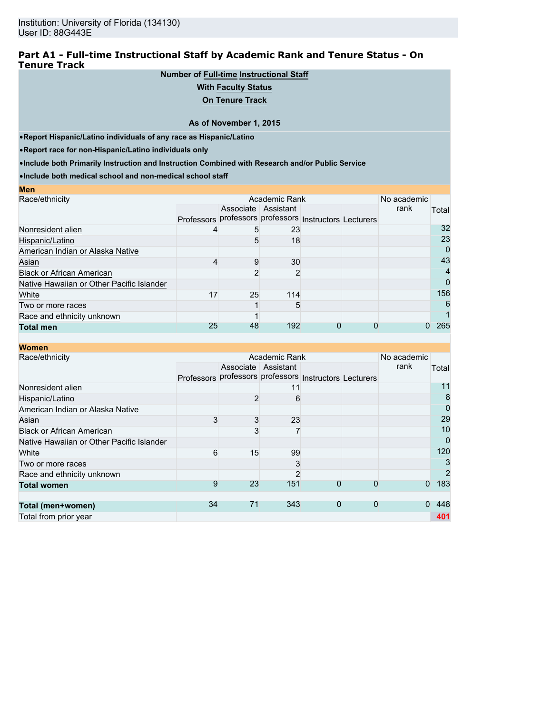## **Part A1 - Full-time Instructional Staff by Academic Rank and Tenure Status - On Tenure Track**

## **Number of Full-time Instructional Staff**

### **With Faculty Status**

**On Tenure Track**

#### **As of November 1, 2015**

•**Report Hispanic/Latino individuals of any race as Hispanic/Latino**

•**Report race for non-Hispanic/Latino individuals only**

•**Include both Primarily Instruction and Instruction Combined with Research and/or Public Service**

•**Include both medical school and non-medical school staff**

| <b>Men</b>                                |                                                        |                     |     |  |      |       |
|-------------------------------------------|--------------------------------------------------------|---------------------|-----|--|------|-------|
| Race/ethnicity                            |                                                        | No academic         |     |  |      |       |
|                                           |                                                        | Associate Assistant |     |  | rank | Total |
|                                           | Professors professors professors Instructors Lecturers |                     |     |  |      |       |
| Nonresident alien                         |                                                        | 5                   | 23  |  |      | 32    |
| Hispanic/Latino                           |                                                        | 5                   | 18  |  |      | 23    |
| American Indian or Alaska Native          |                                                        |                     |     |  |      | 0     |
| Asian                                     |                                                        | g                   | 30  |  |      | 43    |
| <b>Black or African American</b>          |                                                        |                     | 2   |  |      | 4     |
| Native Hawaiian or Other Pacific Islander |                                                        |                     |     |  |      | 0     |
| White                                     | 17                                                     | 25                  | 114 |  |      | 156   |
| Two or more races                         |                                                        |                     | 5   |  |      | 6     |
| Race and ethnicity unknown                |                                                        |                     |     |  |      |       |
| <b>Total men</b>                          | 25                                                     | 48                  | 192 |  |      | 265   |

| <b>Women</b>                              |                   |    |                     |                                             |             |             |             |
|-------------------------------------------|-------------------|----|---------------------|---------------------------------------------|-------------|-------------|-------------|
| Race/ethnicity                            |                   |    | Academic Rank       |                                             |             | No academic |             |
|                                           |                   |    | Associate Assistant |                                             |             | rank        | Total       |
|                                           | <b>Professors</b> |    |                     | professors professors Instructors Lecturers |             |             |             |
| Nonresident alien                         |                   |    | 11                  |                                             |             |             | 11          |
| Hispanic/Latino                           |                   | 2  | 6                   |                                             |             |             | 8           |
| American Indian or Alaska Native          |                   |    |                     |                                             |             |             | $\mathbf 0$ |
| Asian                                     | 3                 | 3  | 23                  |                                             |             |             | 29          |
| <b>Black or African American</b>          |                   | 3  |                     |                                             |             |             | 10          |
| Native Hawaiian or Other Pacific Islander |                   |    |                     |                                             |             |             | $\mathbf 0$ |
| White                                     | 6                 | 15 | 99                  |                                             |             |             | 120         |
| Two or more races                         |                   |    | 3                   |                                             |             |             | 3           |
| Race and ethnicity unknown                |                   |    | $\overline{2}$      |                                             |             |             | 2           |
| <b>Total women</b>                        | 9                 | 23 | 151                 | 0                                           | 0           | $\Omega$    | 183         |
|                                           |                   |    |                     |                                             |             |             |             |
| Total (men+women)                         | 34                | 71 | 343                 | $\mathbf 0$                                 | $\mathbf 0$ | $\Omega$    | 448         |
| Total from prior year                     |                   |    |                     |                                             |             |             | 401         |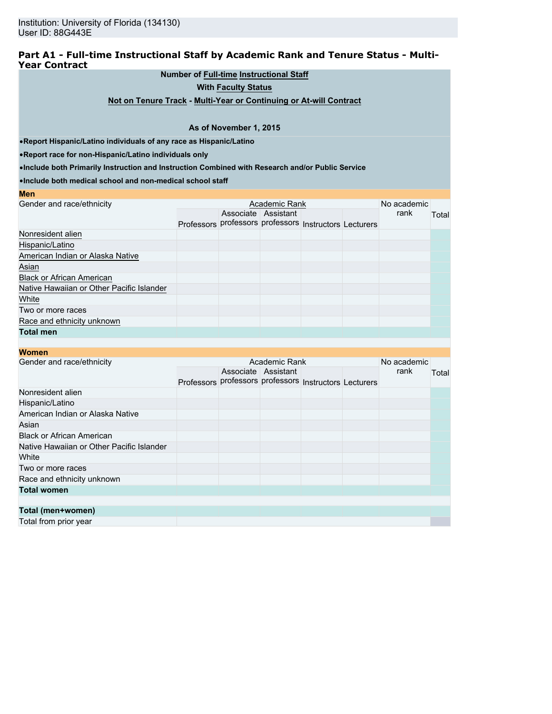## **Part A1 - Full-time Instructional Staff by Academic Rank and Tenure Status - Multi-Year Contract**

## **Number of Full-time Instructional Staff**

**With Faculty Status**

**Not on Tenure Track - Multi-Year or Continuing or At-will Contract**

#### **As of November 1, 2015**

•**Report Hispanic/Latino individuals of any race as Hispanic/Latino**

•**Report race for non-Hispanic/Latino individuals only**

•**Include both Primarily Instruction and Instruction Combined with Research and/or Public Service**

•**Include both medical school and non-medical school staff**

| <b>MCII</b>                               |  |                     |                                                        |  |      |       |
|-------------------------------------------|--|---------------------|--------------------------------------------------------|--|------|-------|
| Gender and race/ethnicity                 |  | No academic         |                                                        |  |      |       |
|                                           |  | Associate Assistant |                                                        |  | rank | Total |
|                                           |  |                     | Professors professors professors Instructors Lecturers |  |      |       |
| Nonresident alien                         |  |                     |                                                        |  |      |       |
| Hispanic/Latino                           |  |                     |                                                        |  |      |       |
| American Indian or Alaska Native          |  |                     |                                                        |  |      |       |
| Asian                                     |  |                     |                                                        |  |      |       |
| <b>Black or African American</b>          |  |                     |                                                        |  |      |       |
| Native Hawaiian or Other Pacific Islander |  |                     |                                                        |  |      |       |
| White                                     |  |                     |                                                        |  |      |       |
| Two or more races                         |  |                     |                                                        |  |      |       |
| Race and ethnicity unknown                |  |                     |                                                        |  |      |       |
| <b>Total men</b>                          |  |                     |                                                        |  |      |       |
|                                           |  |                     |                                                        |  |      |       |

| Women |  |
|-------|--|
|-------|--|

**Men**

| WUHEII                                    |  |                     |                                                        |  |      |       |
|-------------------------------------------|--|---------------------|--------------------------------------------------------|--|------|-------|
| Gender and race/ethnicity                 |  | No academic         |                                                        |  |      |       |
|                                           |  | Associate Assistant |                                                        |  | rank | Total |
|                                           |  |                     | Professors professors professors Instructors Lecturers |  |      |       |
| Nonresident alien                         |  |                     |                                                        |  |      |       |
| Hispanic/Latino                           |  |                     |                                                        |  |      |       |
| American Indian or Alaska Native          |  |                     |                                                        |  |      |       |
| Asian                                     |  |                     |                                                        |  |      |       |
| <b>Black or African American</b>          |  |                     |                                                        |  |      |       |
| Native Hawaiian or Other Pacific Islander |  |                     |                                                        |  |      |       |
| White                                     |  |                     |                                                        |  |      |       |
| Two or more races                         |  |                     |                                                        |  |      |       |
| Race and ethnicity unknown                |  |                     |                                                        |  |      |       |
| <b>Total women</b>                        |  |                     |                                                        |  |      |       |
|                                           |  |                     |                                                        |  |      |       |
| Total (men+women)                         |  |                     |                                                        |  |      |       |
| Total from prior year                     |  |                     |                                                        |  |      |       |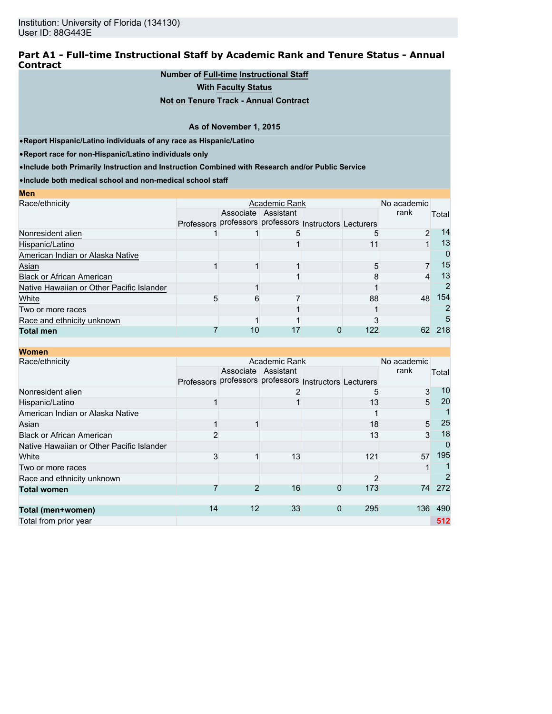## **Part A1 - Full-time Instructional Staff by Academic Rank and Tenure Status - Annual Contract**

## **Number of Full-time Instructional Staff**

**With Faculty Status**

## **Not on Tenure Track - Annual Contract**

#### **As of November 1, 2015**

•**Report Hispanic/Latino individuals of any race as Hispanic/Latino**

•**Report race for non-Hispanic/Latino individuals only**

**Men**

•**Include both Primarily Instruction and Instruction Combined with Research and/or Public Service**

•**Include both medical school and non-medical school staff**

| MEIL                                      |  |             |                                                        |     |                |          |
|-------------------------------------------|--|-------------|--------------------------------------------------------|-----|----------------|----------|
| Race/ethnicity                            |  | No academic |                                                        |     |                |          |
|                                           |  |             | Associate Assistant                                    |     | rank           | Total    |
|                                           |  |             | Professors professors professors Instructors Lecturers |     |                |          |
| Nonresident alien                         |  |             |                                                        |     | $\mathfrak{p}$ | 14       |
| Hispanic/Latino                           |  |             |                                                        |     |                | 13       |
| American Indian or Alaska Native          |  |             |                                                        |     |                | $\Omega$ |
| Asian                                     |  |             |                                                        |     | ⇁              | 15       |
| <b>Black or African American</b>          |  |             |                                                        |     | 4              | 13       |
| Native Hawaiian or Other Pacific Islander |  |             |                                                        |     |                |          |
| White                                     |  |             |                                                        | 88  | 48             | 154      |
| Two or more races                         |  |             |                                                        |     |                |          |
| Race and ethnicity unknown                |  |             |                                                        |     |                | h.       |
| <b>Total men</b>                          |  | 10          |                                                        | 122 | 62             | 218      |

| <b>Women</b>                              |                   |                |                                             |          |     |                 |       |
|-------------------------------------------|-------------------|----------------|---------------------------------------------|----------|-----|-----------------|-------|
| Race/ethnicity                            |                   | No academic    |                                             |          |     |                 |       |
|                                           |                   |                | Associate Assistant                         |          |     | rank            | Total |
|                                           | <b>Professors</b> |                | professors professors Instructors Lecturers |          |     |                 |       |
| Nonresident alien                         |                   |                |                                             |          |     | 3               | 10    |
| Hispanic/Latino                           |                   |                |                                             |          | 13  | 5               | 20    |
| American Indian or Alaska Native          |                   |                |                                             |          |     |                 |       |
| Asian                                     |                   |                |                                             |          | 18  | $5\overline{)}$ | 25    |
| <b>Black or African American</b>          |                   |                |                                             |          | 13  | 3               | 18    |
| Native Hawaiian or Other Pacific Islander |                   |                |                                             |          |     |                 | 0     |
| White                                     | 3                 |                | 13                                          |          | 121 | 57              | 195   |
| Two or more races                         |                   |                |                                             |          |     |                 |       |
| Race and ethnicity unknown                |                   |                |                                             |          |     |                 | 2     |
| <b>Total women</b>                        |                   | $\overline{2}$ | 16                                          | $\Omega$ | 173 | 74              | 272   |
|                                           |                   |                |                                             |          |     |                 |       |
| Total (men+women)                         | 14                | 12             | 33                                          | 0        | 295 | 136             | 490   |
| Total from prior year                     |                   |                |                                             |          |     |                 | 512   |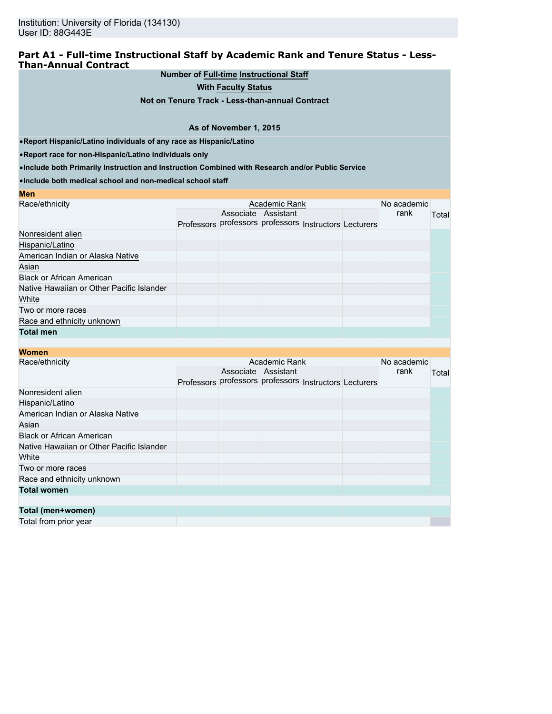## **Part A1 - Full-time Instructional Staff by Academic Rank and Tenure Status - Less-Than-Annual Contract**

**Number of Full-time Instructional Staff**

**With Faculty Status**

**Not on Tenure Track - Less-than-annual Contract**

#### **As of November 1, 2015**

•**Report Hispanic/Latino individuals of any race as Hispanic/Latino**

•**Report race for non-Hispanic/Latino individuals only**

**Men**

•**Include both Primarily Instruction and Instruction Combined with Research and/or Public Service**

•**Include both medical school and non-medical school staff**

| <b>INIGHT</b>                             |                                                        |                     |  |      |       |
|-------------------------------------------|--------------------------------------------------------|---------------------|--|------|-------|
| Race/ethnicity                            |                                                        | No academic         |  |      |       |
|                                           |                                                        | Associate Assistant |  | rank | Total |
|                                           | Professors professors professors Instructors Lecturers |                     |  |      |       |
| Nonresident alien                         |                                                        |                     |  |      |       |
| Hispanic/Latino                           |                                                        |                     |  |      |       |
| American Indian or Alaska Native          |                                                        |                     |  |      |       |
| Asian                                     |                                                        |                     |  |      |       |
| <b>Black or African American</b>          |                                                        |                     |  |      |       |
| Native Hawaiian or Other Pacific Islander |                                                        |                     |  |      |       |
| White                                     |                                                        |                     |  |      |       |
| Two or more races                         |                                                        |                     |  |      |       |
| Race and ethnicity unknown                |                                                        |                     |  |      |       |
| <b>Total men</b>                          |                                                        |                     |  |      |       |

## **Women** Race/ethnicity **Academic Rank Academic Rank** Professors professors professors Instructors Lecturers Associate Assistant No academic<br>rank **Total** Nonresident alien Hispanic/Latino American Indian or Alaska Native Asian and the company of the company of the company of the company of the company of the company of the company Black or African American Native Hawaiian or Other Pacific Islander White was a structured by the contract of the contract of the contract of the contract of the contract of the Two or more races Race and ethnicity unknown **Total women Total (men+women)** Total from prior year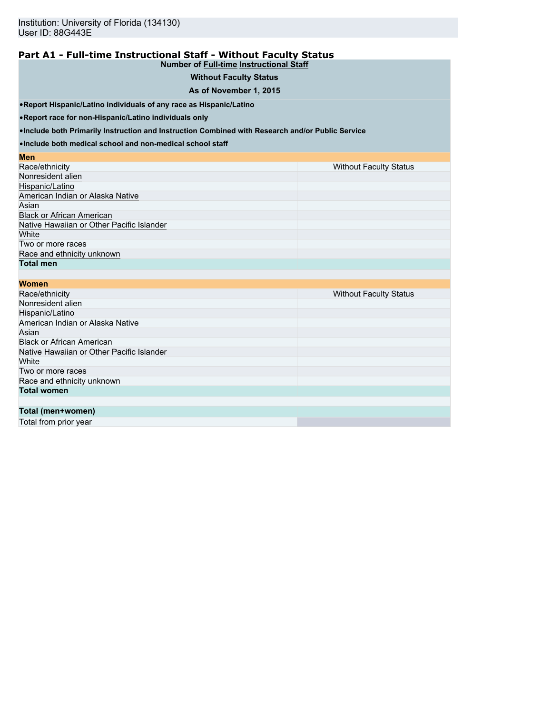#### **Part A1 - Full-time Instructional Staff - Without Faculty Status Number of Full-time Instructional Staff**

## **Without Faculty Status**

#### **As of November 1, 2015**

•**Report Hispanic/Latino individuals of any race as Hispanic/Latino**

•**Report race for non-Hispanic/Latino individuals only**

•**Include both Primarily Instruction and Instruction Combined with Research and/or Public Service**

•**Include both medical school and non-medical school staff**

#### **Men** Race/ethnicity **National Status Community** Race/ethnicity Without Faculty Status **National Status** Nonresident alien Hispanic/Latino American Indian or Alaska Native Asian and the control of the control of the control of the control of the control of the control of the control of the control of the control of the control of the control of the control of the control of the control of th Black or African American Native Hawaiian or Other Pacific Islander<br>White white the contract of the contract of the contract of the contract of the contract of the contract of the contract of the contract of the contract of the contract of the contract of the contract of the contract of the cont Two or more races Race and ethnicity unknown **Total men**

| <b>Women</b>                              |                               |
|-------------------------------------------|-------------------------------|
| Race/ethnicity                            | <b>Without Faculty Status</b> |
| Nonresident alien                         |                               |
| Hispanic/Latino                           |                               |
| American Indian or Alaska Native          |                               |
| Asian                                     |                               |
| <b>Black or African American</b>          |                               |
| Native Hawaiian or Other Pacific Islander |                               |
| White                                     |                               |
| Two or more races                         |                               |
| Race and ethnicity unknown                |                               |
| <b>Total women</b>                        |                               |
|                                           |                               |
| Total (men+women)                         |                               |
| Total from prior voor                     |                               |

Total from prior year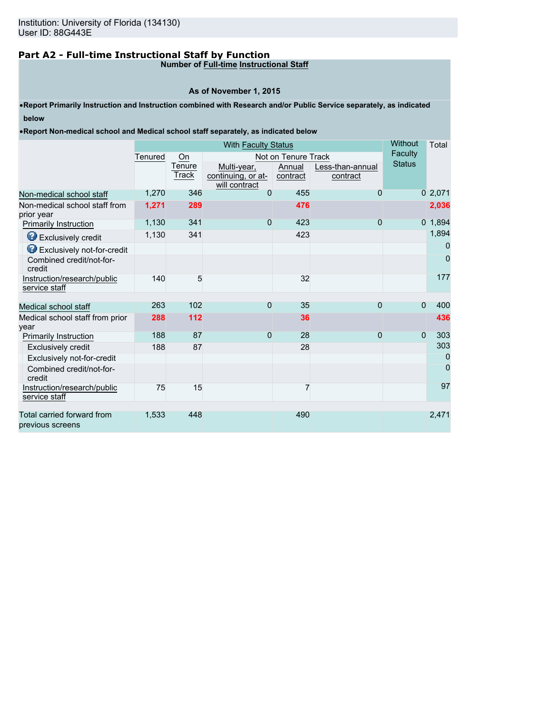# **Part A2 - Full-time Instructional Staff by Function**

## **Number of Full-time Instructional Staff**

## **As of November 1, 2015**

•**Report Primarily Instruction and Instruction combined with Research and/or Public Service separately, as indicated below**

•**Report Non-medical school and Medical school staff separately, as indicated below**

|                                                |         | Without<br><b>With Faculty Status</b> |                                                    |                     |                              |               |           |  |
|------------------------------------------------|---------|---------------------------------------|----------------------------------------------------|---------------------|------------------------------|---------------|-----------|--|
|                                                | Tenured | On                                    |                                                    | Not on Tenure Track |                              | Faculty       |           |  |
|                                                |         | Tenure<br>Track                       | Multi-year,<br>continuing, or at-<br>will contract | Annual<br>contract  | Less-than-annual<br>contract | <b>Status</b> |           |  |
| Non-medical school staff                       | 1,270   | 346                                   | $\Omega$                                           | 455                 | $\Omega$                     |               | 02,071    |  |
| Non-medical school staff from<br>prior year    | 1,271   | 289                                   |                                                    | 476                 |                              |               | 2,036     |  |
| <b>Primarily Instruction</b>                   | 1,130   | 341                                   | $\Omega$                                           | 423                 | $\Omega$                     |               | $0$ 1,894 |  |
| <b>B</b> Exclusively credit                    | 1,130   | 341                                   |                                                    | 423                 |                              |               | 1,894     |  |
| <b>B</b> Exclusively not-for-credit            |         |                                       |                                                    |                     |                              |               | 0         |  |
| Combined credit/not-for-<br>credit             |         |                                       |                                                    |                     |                              |               | 0         |  |
| Instruction/research/public<br>service staff   | 140     | 5                                     |                                                    | 32                  |                              |               | 177       |  |
|                                                | 263     | 102                                   | $\Omega$                                           | 35                  | $\Omega$                     | $\Omega$      | 400       |  |
| Medical school staff                           |         |                                       |                                                    |                     |                              |               |           |  |
| Medical school staff from prior<br>vear        | 288     | 112                                   |                                                    | 36                  |                              |               | 436       |  |
| <b>Primarily Instruction</b>                   | 188     | 87                                    | $\Omega$                                           | 28                  | $\Omega$                     | $\mathbf{0}$  | 303       |  |
| Exclusively credit                             | 188     | 87                                    |                                                    | 28                  |                              |               | 303       |  |
| Exclusively not-for-credit                     |         |                                       |                                                    |                     |                              |               | 0         |  |
| Combined credit/not-for-<br>credit             |         |                                       |                                                    |                     |                              |               | 0         |  |
| Instruction/research/public<br>service staff   | 75      | 15                                    |                                                    | 7                   |                              |               | 97        |  |
|                                                |         |                                       |                                                    |                     |                              |               |           |  |
| Total carried forward from<br>previous screens | 1,533   | 448                                   |                                                    | 490                 |                              |               | 2,471     |  |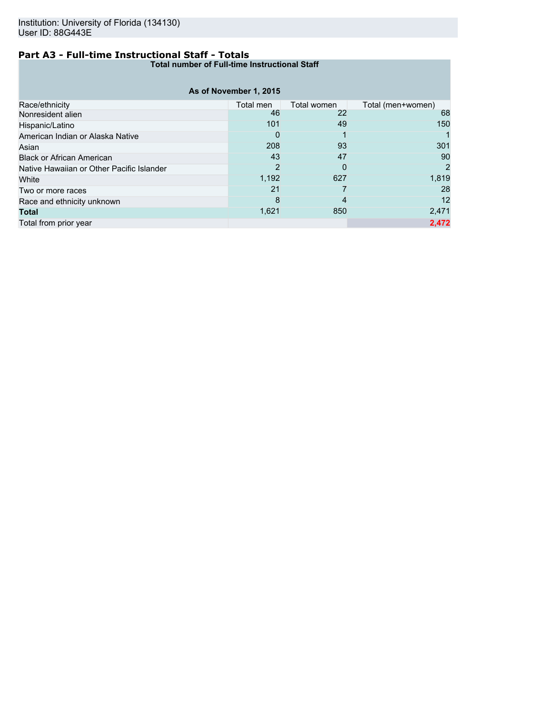## **Part A3 - Full-time Instructional Staff - Totals**

**Total number of Full-time Instructional Staff**

|                                           | As of November 1, 2015 |             |                   |
|-------------------------------------------|------------------------|-------------|-------------------|
| Race/ethnicity                            | Total men              | Total women | Total (men+women) |
| Nonresident alien                         | 46                     | 22          | 68                |
| Hispanic/Latino                           | 101                    | 49          | 150               |
| American Indian or Alaska Native          | 0                      |             |                   |
| Asian                                     | 208                    | 93          | 301               |
| <b>Black or African American</b>          | 43                     | 47          | 90                |
| Native Hawaiian or Other Pacific Islander | 2                      | 0           | 2                 |
| White                                     | 1,192                  | 627         | 1,819             |
| Two or more races                         | 21                     |             | 28                |
| Race and ethnicity unknown                | 8                      | 4           | 12                |
| <b>Total</b>                              | 1,621                  | 850         | 2,471             |
| Total from prior year                     |                        |             | 2,472             |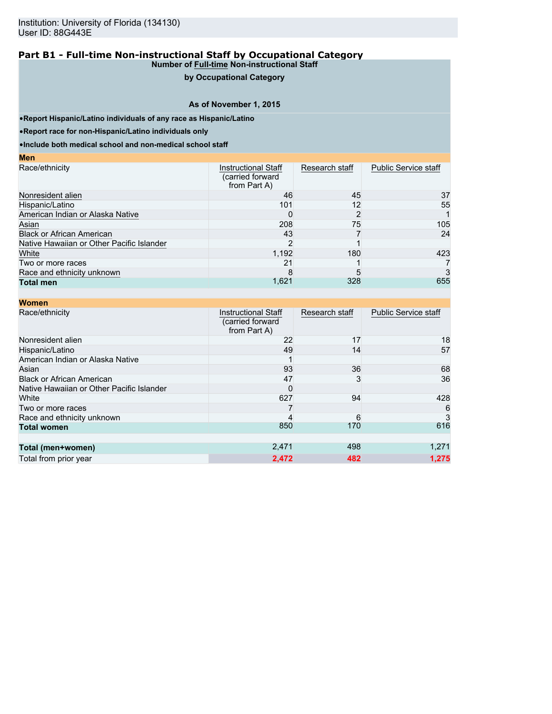## **by Occupational Category**

## **As of November 1, 2015**

•**Report Hispanic/Latino individuals of any race as Hispanic/Latino**

•**Report race for non-Hispanic/Latino individuals only**

**Men**

•**Include both medical school and non-medical school staff**

| <b>Instructional Staff</b><br>(carried forward)<br>from Part A) | Research staff | <b>Public Service staff</b> |
|-----------------------------------------------------------------|----------------|-----------------------------|
| 46                                                              | 45             | 37                          |
| 101                                                             | 12             | 55                          |
|                                                                 |                |                             |
| 208                                                             | 75             | 105                         |
| 43                                                              |                | 24                          |
|                                                                 |                |                             |
| 1,192                                                           | 180            | 423                         |
| 21                                                              |                |                             |
|                                                                 |                | 3                           |
| 1,621                                                           | 328            | 655                         |
|                                                                 |                |                             |

| <b>Women</b>                              |                                                                |                |                             |
|-------------------------------------------|----------------------------------------------------------------|----------------|-----------------------------|
| Race/ethnicity                            | <b>Instructional Staff</b><br>(carried forward<br>from Part A) | Research staff | <b>Public Service staff</b> |
| Nonresident alien                         | 22                                                             | 17             | 18                          |
| Hispanic/Latino                           | 49                                                             | 14             | 57                          |
| American Indian or Alaska Native          |                                                                |                |                             |
| Asian                                     | 93                                                             | 36             | 68                          |
| <b>Black or African American</b>          | 47                                                             | 3              | 36                          |
| Native Hawaiian or Other Pacific Islander | <sup>0</sup>                                                   |                |                             |
| White                                     | 627                                                            | 94             | 428                         |
| Two or more races                         |                                                                |                | 6                           |
| Race and ethnicity unknown                |                                                                | 6              | 3                           |
| <b>Total women</b>                        | 850                                                            | 170            | 616                         |
|                                           |                                                                |                |                             |
| Total (men+women)                         | 2,471                                                          | 498            | 1,271                       |
| Total from prior year                     | 2,472                                                          | 482            | 1.275                       |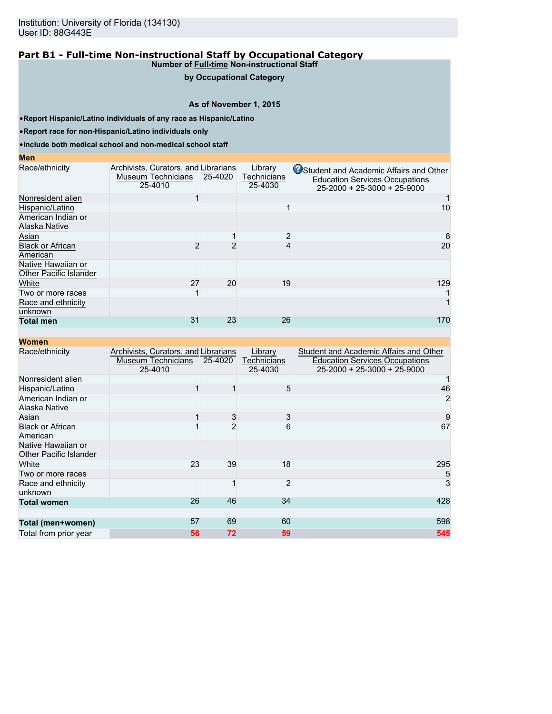## **by Occupational Category**

## **As of November 1, 2015**

•**Report Hispanic/Latino individuals of any race as Hispanic/Latino**

•**Report race for non-Hispanic/Latino individuals only**

•**Include both medical school and non-medical school staff**

#### **Men**

| Race/ethnicity                | Archivists, Curators, and Librarians |         | Library            | Student and Academic Affairs and Other |
|-------------------------------|--------------------------------------|---------|--------------------|----------------------------------------|
|                               | Museum Technicians                   | 25-4020 | <b>Technicians</b> | <b>Education Services Occupations</b>  |
|                               | 25-4010                              |         | 25-4030            | $25 - 2000 + 25 - 3000 + 25 - 9000$    |
| Nonresident alien             |                                      |         |                    |                                        |
| Hispanic/Latino               |                                      |         |                    | 10                                     |
| American Indian or            |                                      |         |                    |                                        |
| Alaska Native                 |                                      |         |                    |                                        |
| Asian                         |                                      |         | 2                  | 8                                      |
| <b>Black or African</b>       |                                      |         |                    | 20                                     |
| American                      |                                      |         |                    |                                        |
| Native Hawaiian or            |                                      |         |                    |                                        |
| <b>Other Pacific Islander</b> |                                      |         |                    |                                        |
| White                         | 27                                   | 20      | 19                 | 129                                    |
| Two or more races             |                                      |         |                    |                                        |
| Race and ethnicity            |                                      |         |                    |                                        |
| unknown                       |                                      |         |                    |                                        |
| <b>Total men</b>              | 31                                   | 23      | 26                 | 170                                    |

| Women                                        |                                                                       |         |                                   |                                                                                                                        |
|----------------------------------------------|-----------------------------------------------------------------------|---------|-----------------------------------|------------------------------------------------------------------------------------------------------------------------|
| Race/ethnicity                               | Archivists, Curators, and Librarians<br>Museum Technicians<br>25-4010 | 25-4020 | Library<br>Technicians<br>25-4030 | Student and Academic Affairs and Other<br><b>Education Services Occupations</b><br>$25 - 2000 + 25 - 3000 + 25 - 9000$ |
| Nonresident alien                            |                                                                       |         |                                   |                                                                                                                        |
| Hispanic/Latino                              |                                                                       |         | 5                                 | 46                                                                                                                     |
| American Indian or<br>Alaska Native          |                                                                       |         |                                   | 2                                                                                                                      |
| Asian                                        |                                                                       | 3       | 3                                 | 9                                                                                                                      |
| <b>Black or African</b><br>American          |                                                                       | 2       | 6                                 | 67                                                                                                                     |
| Native Hawaiian or<br>Other Pacific Islander |                                                                       |         |                                   |                                                                                                                        |
| White                                        | 23                                                                    | 39      | 18                                | 295                                                                                                                    |
| Two or more races                            |                                                                       |         |                                   | 5                                                                                                                      |
| Race and ethnicity<br>unknown                |                                                                       |         | $\overline{2}$                    | 3                                                                                                                      |
| <b>Total women</b>                           | 26                                                                    | 46      | 34                                | 428                                                                                                                    |
| Total (men+women)                            | 57                                                                    | 69      | 60                                | 598                                                                                                                    |
| Total from prior year                        | 56                                                                    | 72      | 59                                | 545                                                                                                                    |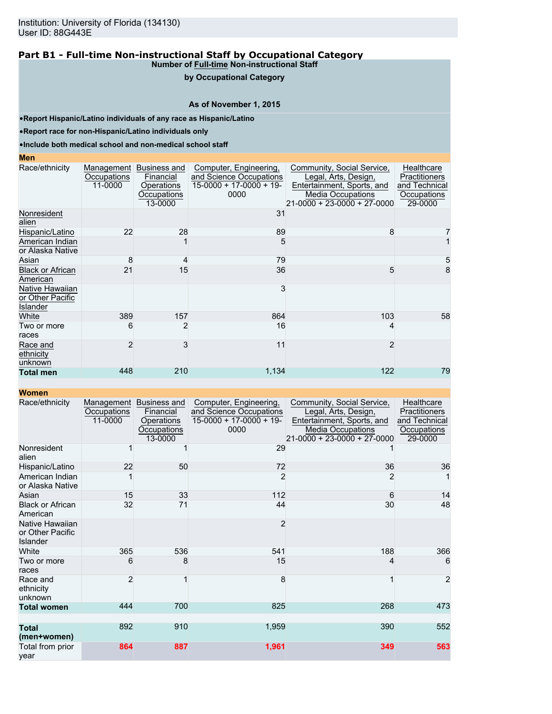#### **by Occupational Category**

## **As of November 1, 2015**

•**Report Hispanic/Latino individuals of any race as Hispanic/Latino**

•**Report race for non-Hispanic/Latino individuals only**

•**Include both medical school and non-medical school staff**

#### **Men**

| Race/ethnicity                                  | Management<br>Occupations<br>11-0000 | Business and<br>Financial<br>Operations<br>Occupations<br>13-0000 | Computer, Engineering,<br>and Science Occupations<br>$15-0000 + 17-0000 + 19-$<br>0000 | Community, Social Service,<br>Legal, Arts, Design,<br>Entertainment, Sports, and<br><b>Media Occupations</b><br>21-0000 + 23-0000 + 27-0000 | Healthcare<br>Practitioners<br>and Technical<br>Occupations<br>29-0000 |
|-------------------------------------------------|--------------------------------------|-------------------------------------------------------------------|----------------------------------------------------------------------------------------|---------------------------------------------------------------------------------------------------------------------------------------------|------------------------------------------------------------------------|
| Nonresident<br>alien                            |                                      |                                                                   | 31                                                                                     |                                                                                                                                             |                                                                        |
| Hispanic/Latino                                 | 22                                   | 28                                                                | 89                                                                                     | 8                                                                                                                                           |                                                                        |
| American Indian<br>or Alaska Native             |                                      |                                                                   | 5                                                                                      |                                                                                                                                             |                                                                        |
| Asian                                           | 8                                    |                                                                   | 79                                                                                     |                                                                                                                                             | 5                                                                      |
| <b>Black or African</b><br>American             | 21                                   | 15                                                                | 36                                                                                     | 5                                                                                                                                           | 8                                                                      |
| Native Hawaiian<br>or Other Pacific<br>Islander |                                      |                                                                   | 3                                                                                      |                                                                                                                                             |                                                                        |
| White                                           | 389                                  | 157                                                               | 864                                                                                    | 103                                                                                                                                         | 58                                                                     |
| Two or more<br>races                            | 6                                    | 2                                                                 | 16                                                                                     | 4                                                                                                                                           |                                                                        |
| Race and<br>ethnicity<br>unknown                | 2                                    | 3                                                                 | 11                                                                                     | 2                                                                                                                                           |                                                                        |
| <b>Total men</b>                                | 448                                  | 210                                                               | 1,134                                                                                  | 122                                                                                                                                         | 79                                                                     |

| Race/ethnicity                                         | Management<br>Occupations<br>11-0000 | <b>Business and</b><br>Financial<br><b>Operations</b><br>Occupations<br>13-0000 | Computer, Engineering,<br>and Science Occupations<br>$15-0000 + 17-0000 + 19$<br>0000 | Community, Social Service,<br>Legal, Arts, Design,<br>Entertainment, Sports, and<br><b>Media Occupations</b><br>21-0000 + 23-0000 + 27-0000 | Healthcare<br>Practitioners<br>and Technical<br>Occupations<br>29-0000 |
|--------------------------------------------------------|--------------------------------------|---------------------------------------------------------------------------------|---------------------------------------------------------------------------------------|---------------------------------------------------------------------------------------------------------------------------------------------|------------------------------------------------------------------------|
| Nonresident<br>alien                                   |                                      |                                                                                 | 29                                                                                    |                                                                                                                                             |                                                                        |
| Hispanic/Latino                                        | 22                                   | 50                                                                              | 72                                                                                    | 36                                                                                                                                          | 36                                                                     |
| American Indian<br>or Alaska Native                    |                                      |                                                                                 | 2                                                                                     | 2                                                                                                                                           |                                                                        |
| Asian                                                  | 15                                   | 33                                                                              | 112                                                                                   | 6                                                                                                                                           | 14                                                                     |
| <b>Black or African</b><br>American                    | 32                                   | 71                                                                              | 44                                                                                    | 30                                                                                                                                          | 48                                                                     |
| Native Hawaiian<br>or Other Pacific<br><b>Islander</b> |                                      |                                                                                 | $\overline{2}$                                                                        |                                                                                                                                             |                                                                        |
| White                                                  | 365                                  | 536                                                                             | 541                                                                                   | 188                                                                                                                                         | 366                                                                    |
| Two or more<br>races                                   | 6                                    | 8                                                                               | 15                                                                                    | 4                                                                                                                                           | 6                                                                      |
| Race and<br>ethnicity<br>unknown                       | $\overline{2}$                       |                                                                                 | 8                                                                                     | 1                                                                                                                                           | $\overline{2}$                                                         |
| <b>Total women</b>                                     | 444                                  | 700                                                                             | 825                                                                                   | 268                                                                                                                                         | 473                                                                    |
| <b>Total</b><br>(men+women)                            | 892                                  | 910                                                                             | 1,959                                                                                 | 390                                                                                                                                         | 552                                                                    |
| Total from prior<br>year                               | 864                                  | 887                                                                             | 1,961                                                                                 | 349                                                                                                                                         | 563                                                                    |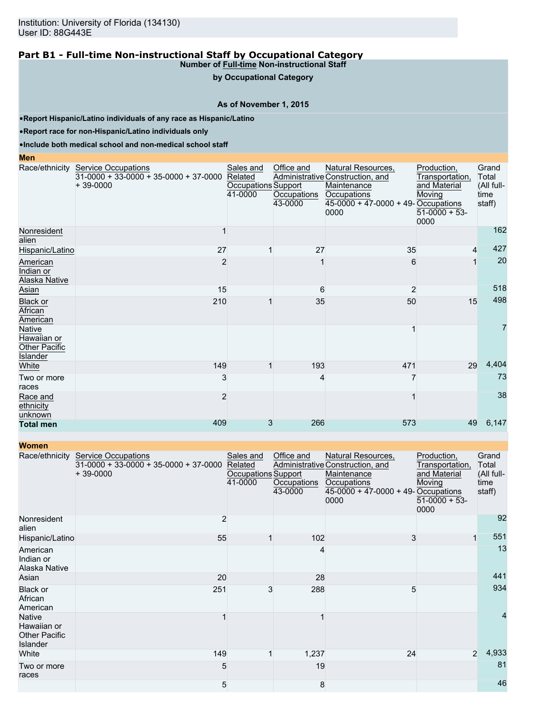**by Occupational Category**

## **As of November 1, 2015**

•**Report Hispanic/Latino individuals of any race as Hispanic/Latino**

•**Report race for non-Hispanic/Latino individuals only**

•**Include both medical school and non-medical school staff**

#### **Men**

|                                                           | Race/ethnicity Service Occupations<br>$31-0000 + 33-0000 + 35-0000 + 37-0000$<br>$+39-0000$ | Sales and<br>Related<br>Occupations Support<br>41-0000 | Office and<br>Occupations<br>43-0000 | Natural Resources,<br>Administrative Construction, and<br>Maintenance<br>Occupations<br>45-0000 + 47-0000 + 49- Occupations<br>0000 | Production,<br>Transportation,<br>and Material<br>Moving<br>$51-0000 + 53$<br>0000 | Grand<br>Total<br>(All full-<br>time<br>staff) |
|-----------------------------------------------------------|---------------------------------------------------------------------------------------------|--------------------------------------------------------|--------------------------------------|-------------------------------------------------------------------------------------------------------------------------------------|------------------------------------------------------------------------------------|------------------------------------------------|
| Nonresident<br>alien                                      |                                                                                             |                                                        |                                      |                                                                                                                                     |                                                                                    | 162                                            |
| Hispanic/Latino                                           | 27                                                                                          |                                                        | 27                                   | 35                                                                                                                                  | 4                                                                                  | 427                                            |
| American<br>Indian or<br>Alaska Native                    | 2                                                                                           |                                                        |                                      | 6                                                                                                                                   |                                                                                    | 20                                             |
| Asian                                                     | 15                                                                                          |                                                        | 6                                    | 2                                                                                                                                   |                                                                                    | 518                                            |
| <b>Black or</b><br>African<br>American                    | 210                                                                                         |                                                        | 35                                   | 50                                                                                                                                  | 15                                                                                 | 498                                            |
| Native<br>Hawaiian or<br>Other Pacific<br><b>Islander</b> |                                                                                             |                                                        |                                      |                                                                                                                                     |                                                                                    | $\overline{7}$                                 |
| White                                                     | 149                                                                                         |                                                        | 193                                  | 471                                                                                                                                 | 29                                                                                 | 4,404                                          |
| Two or more<br>races                                      | 3                                                                                           |                                                        | 4                                    |                                                                                                                                     |                                                                                    | 73                                             |
| Race and<br>ethnicity<br>unknown                          | 2                                                                                           |                                                        |                                      |                                                                                                                                     |                                                                                    | 38                                             |
| <b>Total men</b>                                          | 409                                                                                         | 3                                                      | 266                                  | 573                                                                                                                                 | 49                                                                                 | 6,147                                          |

| <b>Women</b>                                                     |                                                                                     |                                                        |                                      |                                                                                                                                       |                                                                                    |                                                |
|------------------------------------------------------------------|-------------------------------------------------------------------------------------|--------------------------------------------------------|--------------------------------------|---------------------------------------------------------------------------------------------------------------------------------------|------------------------------------------------------------------------------------|------------------------------------------------|
| Race/ethnicity                                                   | <b>Service Occupations</b><br>$31-0000 + 33-0000 + 35-0000 + 37-0000$<br>$+39-0000$ | Sales and<br>Related<br>Occupations Support<br>41-0000 | Office and<br>Occupations<br>43-0000 | Natural Resources,<br>Administrative Construction, and<br>Maintenance<br>Occupations<br>$45-0000 + 47-0000 + 49$ -Occupations<br>0000 | Production,<br>Transportation,<br>and Material<br>Moving<br>$51-0000 + 53$<br>0000 | Grand<br>Total<br>(All full-<br>time<br>staff) |
| Nonresident<br>alien                                             | 2                                                                                   |                                                        |                                      |                                                                                                                                       |                                                                                    | 92                                             |
| Hispanic/Latino                                                  | 55                                                                                  | 1                                                      | 102                                  | 3                                                                                                                                     | 1                                                                                  | 551                                            |
| American<br>Indian or<br>Alaska Native                           |                                                                                     |                                                        | 4                                    |                                                                                                                                       |                                                                                    | 13                                             |
| Asian                                                            | 20                                                                                  |                                                        | 28                                   |                                                                                                                                       |                                                                                    | 441                                            |
| <b>Black or</b><br>African<br>American                           | 251                                                                                 | 3                                                      | 288                                  | 5                                                                                                                                     |                                                                                    | 934                                            |
| <b>Native</b><br>Hawaiian or<br><b>Other Pacific</b><br>Islander |                                                                                     |                                                        |                                      |                                                                                                                                       |                                                                                    | 4                                              |
| White                                                            | 149                                                                                 |                                                        | 1,237                                | 24                                                                                                                                    | $\overline{2}$                                                                     | 4,933                                          |
| Two or more<br>races                                             | 5                                                                                   |                                                        | 19                                   |                                                                                                                                       |                                                                                    | 81                                             |
|                                                                  | 5                                                                                   |                                                        | 8                                    |                                                                                                                                       |                                                                                    | 46                                             |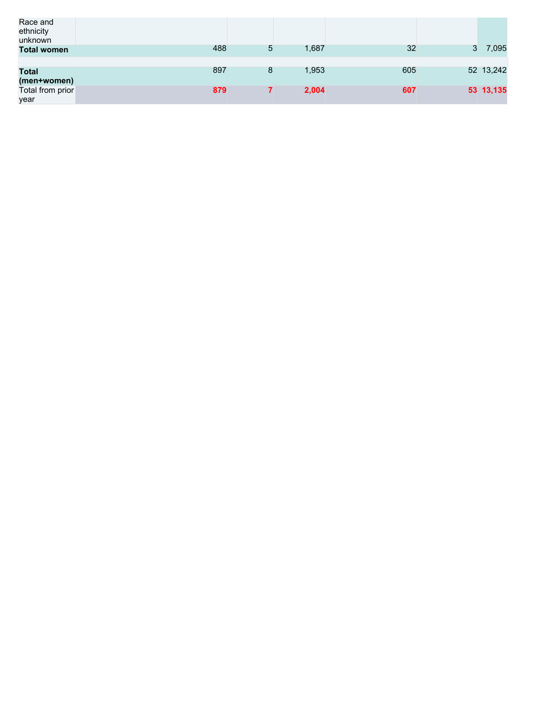| Race and<br>ethnicity<br>unknown |     |   |       |     |   |           |
|----------------------------------|-----|---|-------|-----|---|-----------|
| <b>Total women</b>               | 488 | 5 | 1,687 | 32  | 3 | 7,095     |
|                                  |     |   |       |     |   |           |
| <b>Total</b>                     | 897 | 8 | 1,953 | 605 |   | 52 13,242 |
| (men+women)                      |     |   |       |     |   |           |
| Total from prior                 | 879 |   | 2,004 | 607 |   | 53 13,135 |
| year                             |     |   |       |     |   |           |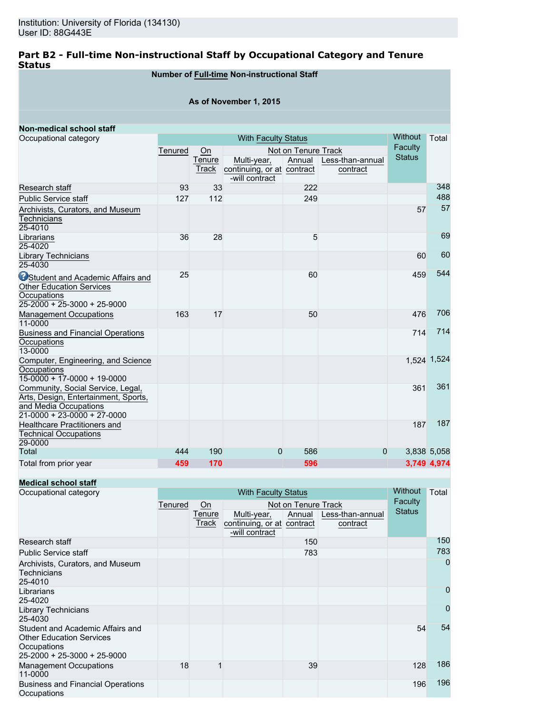## **Part B2 - Full-time Non-instructional Staff by Occupational Category and Tenure Status**

## **Number of Full-time Non-instructional Staff**

### **As of November 1, 2015**

| Non-medical school staff                               |         |                            |                            |                     |                  | <b>Without</b> | Total       |  |
|--------------------------------------------------------|---------|----------------------------|----------------------------|---------------------|------------------|----------------|-------------|--|
| Occupational category                                  |         | <b>With Faculty Status</b> |                            |                     |                  |                |             |  |
|                                                        | Tenured | On                         |                            | Not on Tenure Track |                  | Faculty        |             |  |
|                                                        |         | Tenure                     | Multi-year,                | Annual              | Less-than-annual | <b>Status</b>  |             |  |
|                                                        |         | Track                      | continuing, or at contract |                     | contract         |                |             |  |
|                                                        |         |                            | -will contract             |                     |                  |                |             |  |
| Research staff                                         | 93      | 33                         |                            | 222                 |                  |                | 348         |  |
| <b>Public Service staff</b>                            | 127     | 112                        |                            | 249                 |                  |                | 488         |  |
| Archivists, Curators, and Museum                       |         |                            |                            |                     |                  | 57             | 57          |  |
| <b>Technicians</b>                                     |         |                            |                            |                     |                  |                |             |  |
| 25-4010                                                |         |                            |                            |                     |                  |                |             |  |
| Librarians                                             | 36      | 28                         |                            | 5                   |                  |                | 69          |  |
| 25-4020                                                |         |                            |                            |                     |                  |                |             |  |
| Library Technicians                                    |         |                            |                            |                     |                  | 60             | 60          |  |
| 25-4030                                                |         |                            |                            |                     |                  |                |             |  |
| <b>O</b> Student and Academic Affairs and              | 25      |                            |                            | 60                  |                  | 459            | 544         |  |
| <b>Other Education Services</b>                        |         |                            |                            |                     |                  |                |             |  |
| Occupations                                            |         |                            |                            |                     |                  |                |             |  |
| $25-2000 + 25-3000 + 25-9000$                          |         |                            |                            |                     |                  |                |             |  |
| <b>Management Occupations</b>                          | 163     | 17                         |                            | 50                  |                  | 476            | 706         |  |
| 11-0000                                                |         |                            |                            |                     |                  |                |             |  |
| <b>Business and Financial Operations</b>               |         |                            |                            |                     |                  | 714            | 714         |  |
| Occupations                                            |         |                            |                            |                     |                  |                |             |  |
| 13-0000                                                |         |                            |                            |                     |                  |                |             |  |
| Computer, Engineering, and Science                     |         |                            |                            |                     |                  |                | 1,524 1,524 |  |
| Occupations                                            |         |                            |                            |                     |                  |                |             |  |
| $15-0000 + 17-0000 + 19-0000$                          |         |                            |                            |                     |                  |                |             |  |
| Community, Social Service, Legal,                      |         |                            |                            |                     |                  | 361            | 361         |  |
| Arts, Design, Entertainment, Sports,                   |         |                            |                            |                     |                  |                |             |  |
| and Media Occupations<br>$21-0000 + 23-0000 + 27-0000$ |         |                            |                            |                     |                  |                |             |  |
| <b>Healthcare Practitioners and</b>                    |         |                            |                            |                     |                  | 187            | 187         |  |
| <b>Technical Occupations</b>                           |         |                            |                            |                     |                  |                |             |  |
| 29-0000                                                |         |                            |                            |                     |                  |                |             |  |
| Total                                                  | 444     | 190                        | 0                          | 586                 | 0                |                | 3,838 5,058 |  |
| Total from prior year                                  | 459     | 170                        |                            | 596                 |                  |                | 3.749 4.974 |  |
|                                                        |         |                            |                            |                     |                  |                |             |  |

## **Medical school staff**

| Occupational category                                                                                             |         | <b>With Faculty Status</b> |                                           |                     |                              |               |     |  |
|-------------------------------------------------------------------------------------------------------------------|---------|----------------------------|-------------------------------------------|---------------------|------------------------------|---------------|-----|--|
|                                                                                                                   | Tenured | $\overline{On}$            |                                           | Not on Tenure Track |                              | Faculty       |     |  |
|                                                                                                                   |         | Tenure<br>Track            | Multi-year,<br>continuing, or at contract | Annual              | Less-than-annual<br>contract | <b>Status</b> |     |  |
|                                                                                                                   |         |                            | -will contract                            |                     |                              |               |     |  |
| Research staff                                                                                                    |         |                            |                                           | 150                 |                              |               | 150 |  |
| <b>Public Service staff</b>                                                                                       |         |                            |                                           | 783                 |                              |               | 783 |  |
| Archivists, Curators, and Museum<br><b>Technicians</b><br>25-4010                                                 |         |                            |                                           |                     |                              |               | 0   |  |
| Librarians<br>25-4020                                                                                             |         |                            |                                           |                     |                              |               | 0   |  |
| <b>Library Technicians</b><br>25-4030                                                                             |         |                            |                                           |                     |                              |               | 0   |  |
| Student and Academic Affairs and<br><b>Other Education Services</b><br>Occupations<br>25-2000 + 25-3000 + 25-9000 |         |                            |                                           |                     |                              | 54            | 54  |  |
| <b>Management Occupations</b><br>11-0000                                                                          | 18      |                            |                                           | 39                  |                              | 128           | 186 |  |
| <b>Business and Financial Operations</b><br>Occupations                                                           |         |                            |                                           |                     |                              | 196           | 196 |  |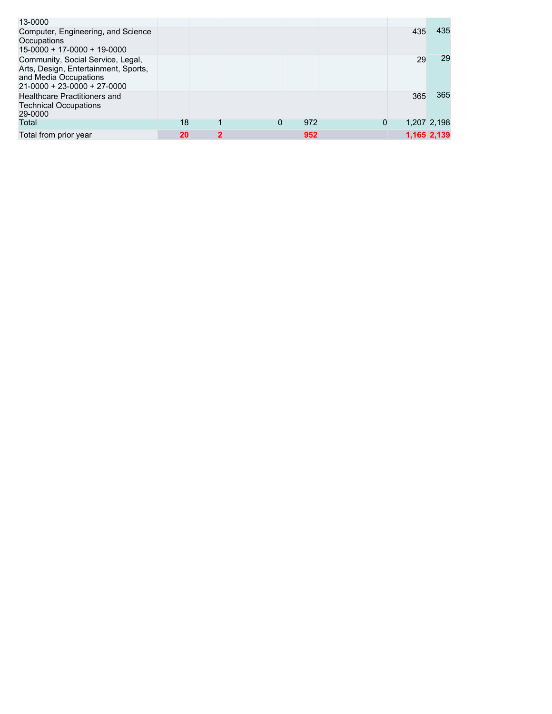| 13-0000                                                                                                                             |    |              |   |     |   |     |             |
|-------------------------------------------------------------------------------------------------------------------------------------|----|--------------|---|-----|---|-----|-------------|
| Computer, Engineering, and Science<br>Occupations<br>$15-0000 + 17-0000 + 19-0000$                                                  |    |              |   |     |   | 435 | 435         |
| Community, Social Service, Legal,<br>Arts, Design, Entertainment, Sports,<br>and Media Occupations<br>$21-0000 + 23-0000 + 27-0000$ |    |              |   |     |   | 29  | 29          |
| Healthcare Practitioners and<br><b>Technical Occupations</b><br>29-0000                                                             |    |              |   |     |   | 365 | 365         |
| Total                                                                                                                               | 18 |              | 0 | 972 | 0 |     | 1,207 2,198 |
| Total from prior year                                                                                                               | 20 | $\mathbf{2}$ |   | 952 |   |     | 1,165 2,139 |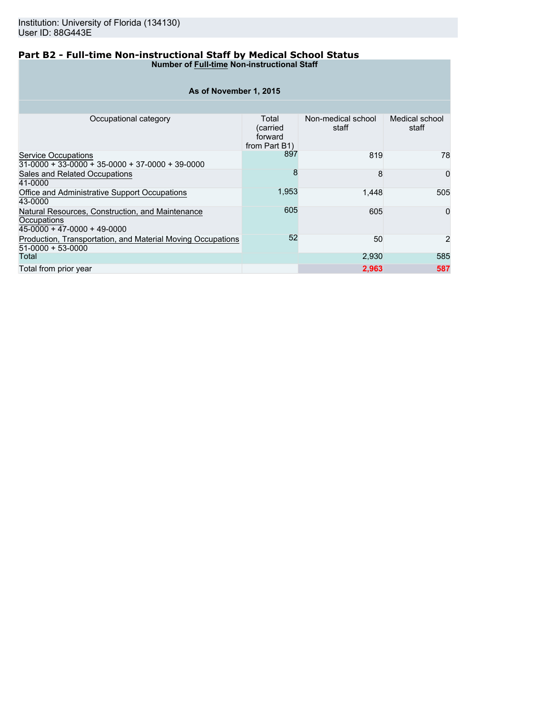## **Part B2 - Full-time Non-instructional Staff by Medical School Status Number of Full-time Non-instructional Staff**

| As of November 1, 2015                                                                         |                                               |                             |                         |  |  |  |  |  |  |  |  |
|------------------------------------------------------------------------------------------------|-----------------------------------------------|-----------------------------|-------------------------|--|--|--|--|--|--|--|--|
|                                                                                                |                                               |                             |                         |  |  |  |  |  |  |  |  |
| Occupational category                                                                          | Total<br>(carried<br>forward<br>from Part B1) | Non-medical school<br>staff | Medical school<br>staff |  |  |  |  |  |  |  |  |
| Service Occupations<br>$31-0000 + 33-0000 + 35-0000 + 37-0000 + 39-0000$                       | 897                                           | 819                         | 78                      |  |  |  |  |  |  |  |  |
| Sales and Related Occupations<br>41-0000                                                       | 8                                             | 8                           | $\Omega$                |  |  |  |  |  |  |  |  |
| Office and Administrative Support Occupations<br>43-0000                                       | 1,953                                         | 1.448                       | 505                     |  |  |  |  |  |  |  |  |
| Natural Resources, Construction, and Maintenance<br>Occupations<br>45-0000 + 47-0000 + 49-0000 | 605                                           | 605                         | $\mathbf 0$             |  |  |  |  |  |  |  |  |
| Production, Transportation, and Material Moving Occupations<br>51-0000 + 53-0000               | 52                                            | 50                          | $\overline{2}$          |  |  |  |  |  |  |  |  |
| Total                                                                                          |                                               | 2,930                       | 585                     |  |  |  |  |  |  |  |  |
| Total from prior year                                                                          |                                               | 2,963                       | 587                     |  |  |  |  |  |  |  |  |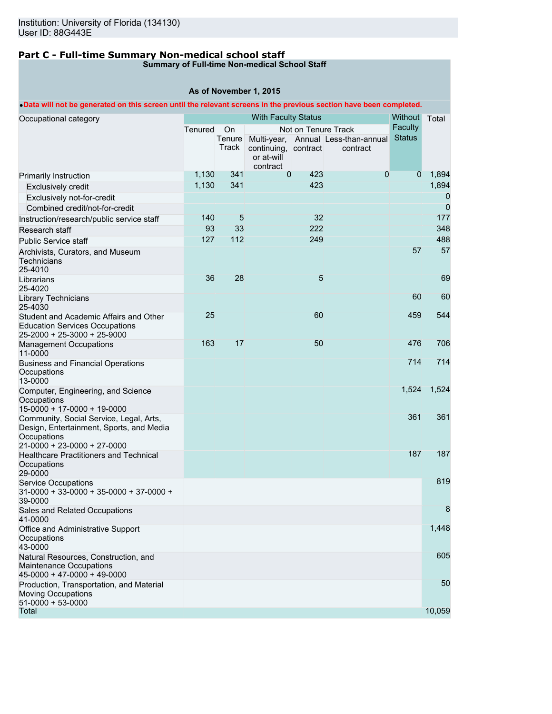## **Part C - Full-time Summary Non-medical school staff**

## **Summary of Full-time Non-medical School Staff**

|                                                                                                                                   |           |                       | As of November 1, 2015                         |                     |                                                 |                           |                |
|-----------------------------------------------------------------------------------------------------------------------------------|-----------|-----------------------|------------------------------------------------|---------------------|-------------------------------------------------|---------------------------|----------------|
| . Data will not be generated on this screen until the relevant screens in the previous section have been completed.               |           |                       |                                                |                     |                                                 |                           |                |
| Occupational category                                                                                                             |           |                       | <b>With Faculty Status</b>                     |                     |                                                 | <b>Without</b><br>Faculty | Total          |
|                                                                                                                                   | Tenured   | On<br>Tenure<br>Track | continuing, contract<br>or at-will<br>contract | Not on Tenure Track | Multi-year, Annual Less-than-annual<br>contract | <b>Status</b>             |                |
| Primarily Instruction                                                                                                             | 1,130     | 341                   | $\Omega$                                       | 423                 | $\Omega$                                        | $\mathbf{0}$              | 1,894          |
| <b>Exclusively credit</b>                                                                                                         | 1,130     | 341                   |                                                | 423                 |                                                 |                           | 1,894          |
| Exclusively not-for-credit                                                                                                        |           |                       |                                                |                     |                                                 |                           | 0              |
| Combined credit/not-for-credit                                                                                                    |           |                       |                                                |                     |                                                 |                           | $\overline{0}$ |
| Instruction/research/public service staff                                                                                         | 140<br>93 | 5<br>33               |                                                | 32<br>222           |                                                 |                           | 177<br>348     |
| Research staff<br><b>Public Service staff</b>                                                                                     | 127       | 112                   |                                                | 249                 |                                                 |                           | 488            |
| Archivists, Curators, and Museum<br>Technicians<br>25-4010                                                                        |           |                       |                                                |                     |                                                 | 57                        | 57             |
| Librarians<br>25-4020                                                                                                             | 36        | 28                    |                                                | 5                   |                                                 |                           | 69             |
| Library Technicians<br>25-4030                                                                                                    |           |                       |                                                |                     |                                                 | 60                        | 60             |
| Student and Academic Affairs and Other<br><b>Education Services Occupations</b><br>25-2000 + 25-3000 + 25-9000                    | 25        |                       |                                                | 60                  |                                                 | 459                       | 544            |
| <b>Management Occupations</b><br>11-0000                                                                                          | 163       | 17                    |                                                | 50                  |                                                 | 476                       | 706            |
| <b>Business and Financial Operations</b><br>Occupations<br>13-0000                                                                |           |                       |                                                |                     |                                                 | 714                       | 714            |
| Computer, Engineering, and Science<br>Occupations<br>15-0000 + 17-0000 + 19-0000                                                  |           |                       |                                                |                     |                                                 | 1,524                     | 1,524          |
| Community, Social Service, Legal, Arts,<br>Design, Entertainment, Sports, and Media<br>Occupations<br>21-0000 + 23-0000 + 27-0000 |           |                       |                                                |                     |                                                 | 361                       | 361            |
| <b>Healthcare Practitioners and Technical</b><br>Occupations<br>29-0000                                                           |           |                       |                                                |                     |                                                 | 187                       | 187            |
| <b>Service Occupations</b><br>$31-0000 + 33-0000 + 35-0000 + 37-0000 +$<br>39-0000                                                |           |                       |                                                |                     |                                                 |                           | 819            |
| Sales and Related Occupations<br>41-0000                                                                                          |           |                       |                                                |                     |                                                 |                           | 8              |
| Office and Administrative Support<br>Occupations<br>43-0000                                                                       |           |                       |                                                |                     |                                                 |                           | 1,448          |
| Natural Resources, Construction, and<br><b>Maintenance Occupations</b><br>45-0000 + 47-0000 + 49-0000                             |           |                       |                                                |                     |                                                 |                           | 605            |
| Production, Transportation, and Material<br><b>Moving Occupations</b><br>51-0000 + 53-0000                                        |           |                       |                                                |                     |                                                 |                           | 50             |
| Total                                                                                                                             |           |                       |                                                |                     |                                                 |                           | 10,059         |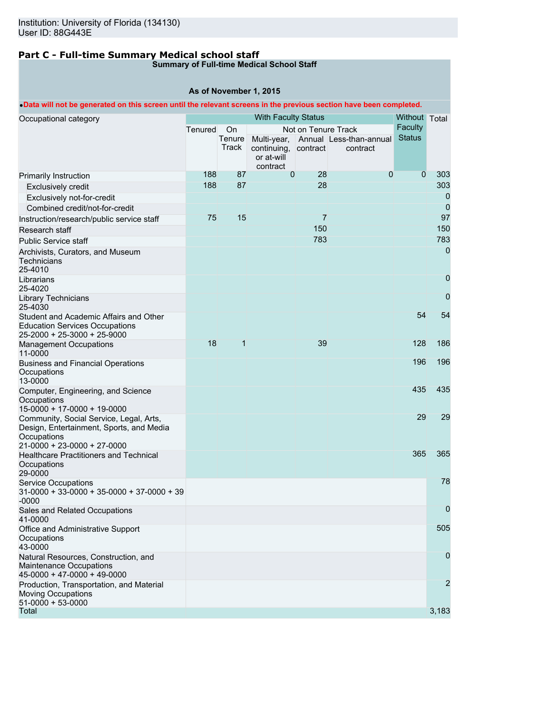# **Part C - Full-time Summary Medical school staff**

## **Summary of Full-time Medical School Staff**

## **As of November 1, 2015**

## •**Data will not be generated on this screen until the relevant screens in the previous section have been completed.**

| Occupational category                                                                                                             |         |                       | <b>With Faculty Status</b>                     |                     |                                                 | Without Total                   |                |
|-----------------------------------------------------------------------------------------------------------------------------------|---------|-----------------------|------------------------------------------------|---------------------|-------------------------------------------------|---------------------------------|----------------|
|                                                                                                                                   | Tenured | On<br>Tenure<br>Track | continuing, contract<br>or at-will<br>contract | Not on Tenure Track | Multi-year, Annual Less-than-annual<br>contract | <b>Faculty</b><br><b>Status</b> |                |
| Primarily Instruction                                                                                                             | 188     | 87                    | $\mathbf 0$                                    | 28                  | $\theta$                                        | $\mathbf 0$                     | 303            |
| <b>Exclusively credit</b>                                                                                                         | 188     | 87                    |                                                | 28                  |                                                 |                                 | 303            |
| Exclusively not-for-credit                                                                                                        |         |                       |                                                |                     |                                                 |                                 | 0              |
| Combined credit/not-for-credit                                                                                                    |         |                       |                                                |                     |                                                 |                                 | 0              |
| Instruction/research/public service staff                                                                                         | 75      | 15                    |                                                | 7                   |                                                 |                                 | 97             |
| Research staff                                                                                                                    |         |                       |                                                | 150                 |                                                 |                                 | 150            |
| <b>Public Service staff</b>                                                                                                       |         |                       |                                                | 783                 |                                                 |                                 | 783            |
| Archivists, Curators, and Museum<br>Technicians<br>25-4010                                                                        |         |                       |                                                |                     |                                                 |                                 | 0              |
| Librarians<br>25-4020                                                                                                             |         |                       |                                                |                     |                                                 |                                 | 0              |
| Library Technicians<br>25-4030                                                                                                    |         |                       |                                                |                     |                                                 |                                 | 0              |
| Student and Academic Affairs and Other<br><b>Education Services Occupations</b><br>25-2000 + 25-3000 + 25-9000                    |         |                       |                                                |                     |                                                 | 54                              | 54             |
| <b>Management Occupations</b><br>11-0000                                                                                          | 18      | 1                     |                                                | 39                  |                                                 | 128                             | 186            |
| <b>Business and Financial Operations</b><br>Occupations<br>13-0000                                                                |         |                       |                                                |                     |                                                 | 196                             | 196            |
| Computer, Engineering, and Science<br>Occupations<br>15-0000 + 17-0000 + 19-0000                                                  |         |                       |                                                |                     |                                                 | 435                             | 435            |
| Community, Social Service, Legal, Arts,<br>Design, Entertainment, Sports, and Media<br>Occupations<br>21-0000 + 23-0000 + 27-0000 |         |                       |                                                |                     |                                                 | 29                              | 29             |
| <b>Healthcare Practitioners and Technical</b><br>Occupations<br>29-0000                                                           |         |                       |                                                |                     |                                                 | 365                             | 365            |
| <b>Service Occupations</b><br>$31-0000 + 33-0000 + 35-0000 + 37-0000 + 39$<br>$-0000$                                             |         |                       |                                                |                     |                                                 |                                 | 78             |
| Sales and Related Occupations<br>41-0000                                                                                          |         |                       |                                                |                     |                                                 |                                 | 0              |
| Office and Administrative Support<br>Occupations<br>43-0000                                                                       |         |                       |                                                |                     |                                                 |                                 | 505            |
| Natural Resources, Construction, and<br>Maintenance Occupations<br>$45-0000 + 47-0000 + 49-0000$                                  |         |                       |                                                |                     |                                                 |                                 | 0              |
| Production, Transportation, and Material<br><b>Moving Occupations</b><br>$51-0000 + 53-0000$                                      |         |                       |                                                |                     |                                                 |                                 | $\overline{2}$ |
| Total                                                                                                                             |         |                       |                                                |                     |                                                 |                                 | 3,183          |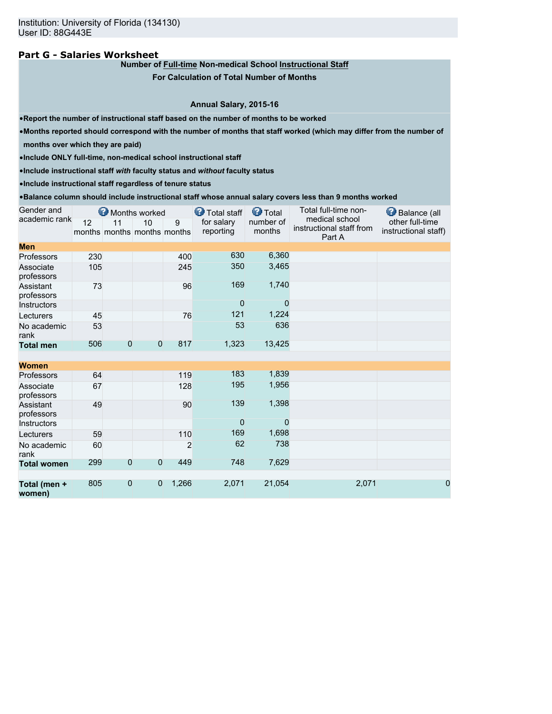## **Part G - Salaries Worksheet**

## **Number of Full-time Non-medical School Instructional Staff**

**For Calculation of Total Number of Months**

### **Annual Salary, 2015-16**

•**Report the number of instructional staff based on the number of months to be worked**

•**Months reported should correspond with the number of months that staff worked (which may differ from the number of**

**months over which they are paid)**

•**Include ONLY full-time, non-medical school instructional staff**

•**Include instructional staff** *with* **faculty status and** *without* **faculty status**

•**Include instructional staff regardless of tenure status**

#### •**Balance column should include instructional staff whose annual salary covers less than 9 months worked**

| Gender and              |     |                | Months worked                     |       | Total staff             | <b>O</b> Total      | Total full-time non-                                 | Balance (all                            |
|-------------------------|-----|----------------|-----------------------------------|-------|-------------------------|---------------------|------------------------------------------------------|-----------------------------------------|
| academic rank           | 12  | 11             | 10<br>months months months months | 9     | for salary<br>reporting | number of<br>months | medical school<br>instructional staff from<br>Part A | other full-time<br>instructional staff) |
| <b>Men</b>              |     |                |                                   |       |                         |                     |                                                      |                                         |
| Professors              | 230 |                |                                   | 400   | 630                     | 6,360               |                                                      |                                         |
| Associate<br>professors | 105 |                |                                   | 245   | 350                     | 3,465               |                                                      |                                         |
| Assistant<br>professors | 73  |                |                                   | 96    | 169                     | 1,740               |                                                      |                                         |
| <b>Instructors</b>      |     |                |                                   |       | $\overline{0}$          | $\Omega$            |                                                      |                                         |
| Lecturers               | 45  |                |                                   | 76    | 121                     | 1,224               |                                                      |                                         |
| No academic<br>rank     | 53  |                |                                   |       | 53                      | 636                 |                                                      |                                         |
| <b>Total men</b>        | 506 | $\overline{0}$ | $\mathbf{0}$                      | 817   | 1,323                   | 13,425              |                                                      |                                         |
|                         |     |                |                                   |       |                         |                     |                                                      |                                         |
| <b>Women</b>            |     |                |                                   |       |                         |                     |                                                      |                                         |
| Professors              | 64  |                |                                   | 119   | 183                     | 1,839               |                                                      |                                         |
| Associate<br>professors | 67  |                |                                   | 128   | 195                     | 1,956               |                                                      |                                         |
| Assistant<br>professors | 49  |                |                                   | 90    | 139                     | 1,398               |                                                      |                                         |
| Instructors             |     |                |                                   |       | $\Omega$                | $\Omega$            |                                                      |                                         |
| Lecturers               | 59  |                |                                   | 110   | 169                     | 1,698               |                                                      |                                         |
| No academic<br>rank     | 60  |                |                                   | 2     | 62                      | 738                 |                                                      |                                         |
| <b>Total women</b>      | 299 | $\mathbf{0}$   | $\overline{0}$                    | 449   | 748                     | 7,629               |                                                      |                                         |
| Total (men +<br>women)  | 805 | $\mathbf{0}$   | $\mathbf{0}$                      | 1,266 | 2,071                   | 21,054              | 2,071                                                | 0                                       |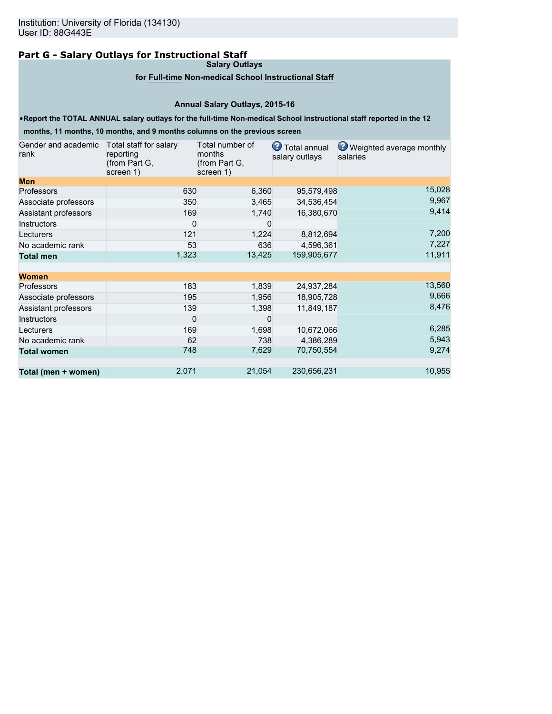## **Part G - Salary Outlays for Instructional Staff**

**Salary Outlays**

## **for Full-time Non-medical School Instructional Staff**

## **Annual Salary Outlays, 2015-16**

### •**Report the TOTAL ANNUAL salary outlays for the full-time Non-medical School instructional staff reported in the 12**

**months, 11 months, 10 months, and 9 months columns on the previous screen**

| Gender and academic<br>rank | Total staff for salary<br>reporting<br>(from Part G,<br>screen 1) | Total number of<br>months<br>(from Part G,<br>screen 1) | <b>T</b> otal annual<br>salary outlays | Weighted average monthly<br>salaries |
|-----------------------------|-------------------------------------------------------------------|---------------------------------------------------------|----------------------------------------|--------------------------------------|
| <b>Men</b>                  |                                                                   |                                                         |                                        |                                      |
| <b>Professors</b>           | 630                                                               | 6,360                                                   | 95,579,498                             | 15,028                               |
| Associate professors        | 350                                                               | 3,465                                                   | 34,536,454                             | 9,967                                |
| Assistant professors        | 169                                                               | 1,740                                                   | 16,380,670                             | 9,414                                |
| <b>Instructors</b>          | 0                                                                 | 0                                                       |                                        |                                      |
| Lecturers                   | 121                                                               | 1,224                                                   | 8,812,694                              | 7,200                                |
| No academic rank            | 53                                                                | 636                                                     | 4,596,361                              | 7,227                                |
| <b>Total men</b>            | 1,323                                                             | 13,425                                                  | 159,905,677                            | 11,911                               |
| <b>Women</b>                |                                                                   |                                                         |                                        |                                      |
| Professors                  | 183                                                               | 1,839                                                   | 24,937,284                             | 13,560                               |
| Associate professors        | 195                                                               | 1,956                                                   | 18,905,728                             | 9,666                                |
| Assistant professors        | 139                                                               | 1,398                                                   | 11,849,187                             | 8,476                                |
| <b>Instructors</b>          | $\Omega$                                                          | $\Omega$                                                |                                        |                                      |
| Lecturers                   | 169                                                               | 1,698                                                   | 10,672,066                             | 6,285                                |
| No academic rank            | 62                                                                | 738                                                     | 4,386,289                              | 5,943                                |
| <b>Total women</b>          | 748                                                               | 7,629                                                   | 70,750,554                             | 9,274                                |
| Total (men + women)         | 2,071                                                             | 21,054                                                  | 230,656,231                            | 10,955                               |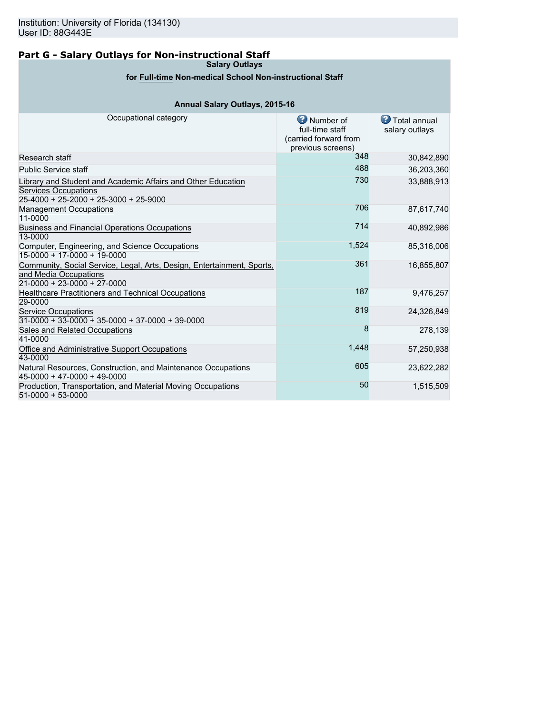## **Part G - Salary Outlays for Non-instructional Staff**

**Salary Outlays**

## **for Full-time Non-medical School Non-instructional Staff**

## **Annual Salary Outlays, 2015-16**

| Occupational category                                                                                                                  | Number of<br>full-time staff<br>(carried forward from<br>previous screens) | <b>D</b> Total annual<br>salary outlays |
|----------------------------------------------------------------------------------------------------------------------------------------|----------------------------------------------------------------------------|-----------------------------------------|
| Research staff                                                                                                                         | 348                                                                        | 30,842,890                              |
| <b>Public Service staff</b>                                                                                                            | 488                                                                        | 36,203,360                              |
| Library and Student and Academic Affairs and Other Education<br><b>Services Occupations</b><br>$25-4000 + 25-2000 + 25-3000 + 25-9000$ | 730                                                                        | 33,888,913                              |
| <b>Management Occupations</b><br>11-0000                                                                                               | 706                                                                        | 87,617,740                              |
| <b>Business and Financial Operations Occupations</b><br>13-0000                                                                        | 714                                                                        | 40,892,986                              |
| Computer, Engineering, and Science Occupations<br>15-0000 + 17-0000 + 19-0000                                                          | 1,524                                                                      | 85,316,006                              |
| Community, Social Service, Legal, Arts, Design, Entertainment, Sports,<br>and Media Occupations<br>$21-0000 + 23-0000 + 27-0000$       | 361                                                                        | 16,855,807                              |
| Healthcare Practitioners and Technical Occupations<br>29-0000                                                                          | 187                                                                        | 9,476,257                               |
| <b>Service Occupations</b><br>$31-0000 + 33-0000 + 35-0000 + 37-0000 + 39-0000$                                                        | 819                                                                        | 24,326,849                              |
| Sales and Related Occupations<br>41-0000                                                                                               | 8                                                                          | 278,139                                 |
| Office and Administrative Support Occupations<br>43-0000                                                                               | 1,448                                                                      | 57,250,938                              |
| Natural Resources, Construction, and Maintenance Occupations<br>$45-0000 + 47-0000 + 49-0000$                                          | 605                                                                        | 23,622,282                              |
| Production, Transportation, and Material Moving Occupations<br>$51-0000 + 53-0000$                                                     | 50                                                                         | 1,515,509                               |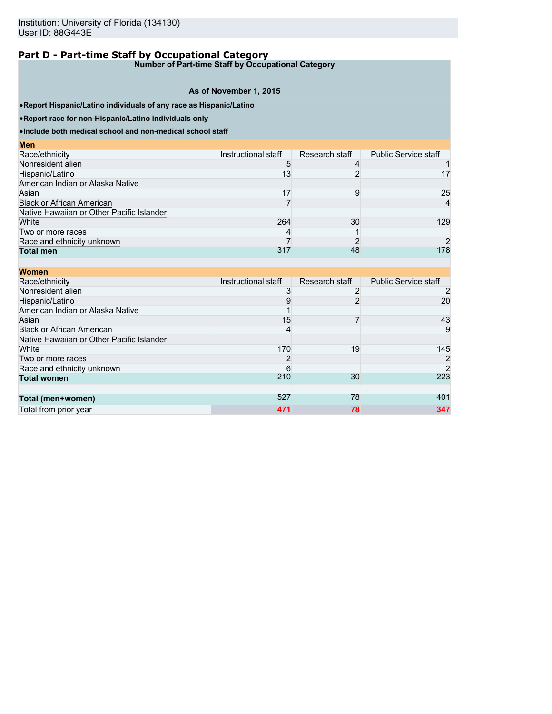**Number of Part-time Staff by Occupational Category**

#### **As of November 1, 2015**

•**Report Hispanic/Latino individuals of any race as Hispanic/Latino**

•**Report race for non-Hispanic/Latino individuals only**

**Men**

•**Include both medical school and non-medical school staff**

| меш                                       |                     |                |                             |
|-------------------------------------------|---------------------|----------------|-----------------------------|
| Race/ethnicity                            | Instructional staff | Research staff | <b>Public Service staff</b> |
| Nonresident alien                         | ۰.                  |                |                             |
| Hispanic/Latino                           | 13                  |                | 17                          |
| American Indian or Alaska Native          |                     |                |                             |
| Asian                                     | 17                  | 9              | 25                          |
| <b>Black or African American</b>          |                     |                | $\overline{4}$              |
| Native Hawaiian or Other Pacific Islander |                     |                |                             |
| White                                     | 264                 | 30             | 129                         |
| Two or more races                         |                     |                |                             |
| Race and ethnicity unknown                |                     |                |                             |
| <b>Total men</b>                          | 317                 | 48             | 178                         |
|                                           |                     |                |                             |

| <b>Women</b>                              |                     |                |                             |
|-------------------------------------------|---------------------|----------------|-----------------------------|
| Race/ethnicity                            | Instructional staff | Research staff | <b>Public Service staff</b> |
| Nonresident alien                         | 3                   |                |                             |
| Hispanic/Latino                           | 9                   | 2              | 20                          |
| American Indian or Alaska Native          |                     |                |                             |
| Asian                                     | 15                  |                | 43                          |
| <b>Black or African American</b>          | 4                   |                | 9                           |
| Native Hawaiian or Other Pacific Islander |                     |                |                             |
| White                                     | 170                 | 19             | 145                         |
| Two or more races                         | 2                   |                | 2                           |
| Race and ethnicity unknown                | 6                   |                | $\overline{2}$              |
| <b>Total women</b>                        | 210                 | 30             | 223                         |
|                                           |                     |                |                             |
| Total (men+women)                         | 527                 | 78             | 401                         |
| Total from prior year                     | 471                 | 78             | 347                         |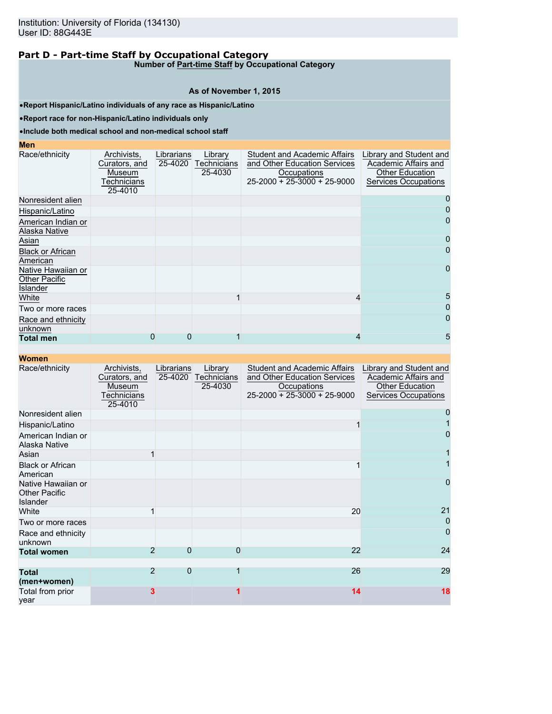**Number of Part-time Staff by Occupational Category**

#### **As of November 1, 2015**

•**Report Hispanic/Latino individuals of any race as Hispanic/Latino**

•**Report race for non-Hispanic/Latino individuals only**

#### •**Include both medical school and non-medical school staff**

## **Men**

| Race/ethnicity                                         | Archivists,<br>Curators, and<br>Museum<br><sup>-</sup> echnicians<br>25-4010 | Librarians<br>25-4020 | Library<br>Technicians<br>25-4030 | <b>Student and Academic Affairs</b><br>and Other Education Services<br>Occupations<br>$25 - 2000 + 25 - 3000 + 25 - 9000$ | Library and Student and<br>Academic Affairs and<br><b>Other Education</b><br><b>Services Occupations</b> |
|--------------------------------------------------------|------------------------------------------------------------------------------|-----------------------|-----------------------------------|---------------------------------------------------------------------------------------------------------------------------|----------------------------------------------------------------------------------------------------------|
| Nonresident alien                                      |                                                                              |                       |                                   |                                                                                                                           |                                                                                                          |
| Hispanic/Latino                                        |                                                                              |                       |                                   |                                                                                                                           | 0                                                                                                        |
| American Indian or<br>Alaska Native                    |                                                                              |                       |                                   |                                                                                                                           | $\overline{0}$                                                                                           |
| Asian                                                  |                                                                              |                       |                                   |                                                                                                                           |                                                                                                          |
| <b>Black or African</b><br>American                    |                                                                              |                       |                                   |                                                                                                                           | 0                                                                                                        |
| Native Hawaiian or<br><b>Other Pacific</b><br>Islander |                                                                              |                       |                                   |                                                                                                                           | $\mathbf 0$                                                                                              |
| White                                                  |                                                                              |                       |                                   | 4                                                                                                                         | 5                                                                                                        |
| Two or more races                                      |                                                                              |                       |                                   |                                                                                                                           |                                                                                                          |
| Race and ethnicity<br>unknown                          |                                                                              |                       |                                   |                                                                                                                           | 0                                                                                                        |
| <b>Total men</b>                                       | 0                                                                            | 0                     |                                   | 4                                                                                                                         | 5                                                                                                        |

| Race/ethnicity                                                | Archivists,<br>Curators, and<br>Museum<br><u>Fechnicians</u><br>25-4010 | Librarians<br>25-4020 | Library<br><b>Technicians</b><br>25-4030 | <b>Student and Academic Affairs</b><br>and Other Education Services<br>Occupations<br>$25-2000 + 25-3000 + 25-9000$ | Library and Student and<br>Academic Affairs and<br><b>Other Education</b><br>Services Occupations |
|---------------------------------------------------------------|-------------------------------------------------------------------------|-----------------------|------------------------------------------|---------------------------------------------------------------------------------------------------------------------|---------------------------------------------------------------------------------------------------|
| Nonresident alien                                             |                                                                         |                       |                                          |                                                                                                                     |                                                                                                   |
| Hispanic/Latino                                               |                                                                         |                       |                                          |                                                                                                                     |                                                                                                   |
| American Indian or<br>Alaska Native                           |                                                                         |                       |                                          |                                                                                                                     | 0                                                                                                 |
| Asian                                                         |                                                                         |                       |                                          |                                                                                                                     |                                                                                                   |
| <b>Black or African</b><br>American                           |                                                                         |                       |                                          |                                                                                                                     |                                                                                                   |
| Native Hawaiian or<br><b>Other Pacific</b><br><b>Islander</b> |                                                                         |                       |                                          |                                                                                                                     | $\overline{0}$                                                                                    |
| White                                                         |                                                                         |                       |                                          | 20                                                                                                                  | 21                                                                                                |
| Two or more races                                             |                                                                         |                       |                                          |                                                                                                                     | $\mathbf 0$                                                                                       |
| Race and ethnicity<br>unknown                                 |                                                                         |                       |                                          |                                                                                                                     | $\overline{0}$                                                                                    |
| <b>Total women</b>                                            | $\overline{2}$                                                          | $\overline{0}$        | 0                                        | 22                                                                                                                  | 24                                                                                                |
|                                                               |                                                                         |                       |                                          |                                                                                                                     |                                                                                                   |
| <b>Total</b><br>(men+women)                                   | $\overline{2}$                                                          | $\Omega$              |                                          | 26                                                                                                                  | 29                                                                                                |
| Total from prior<br>vear                                      | 3                                                                       |                       |                                          | 14                                                                                                                  | 18                                                                                                |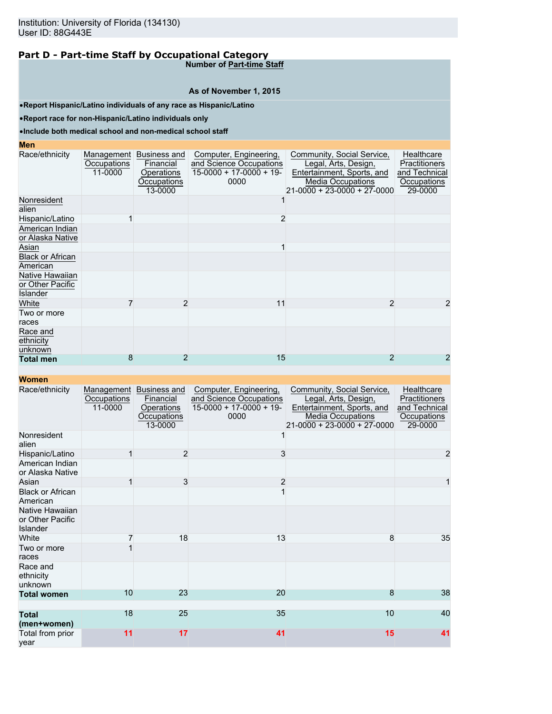**Number of Part-time Staff**

#### **As of November 1, 2015**

•**Report Hispanic/Latino individuals of any race as Hispanic/Latino**

•**Report race for non-Hispanic/Latino individuals only**

## •**Include both medical school and non-medical school staff**

| <b>Men</b>                                      |                                      |                                                                   |                                                                                       |                                                                                                                                             |                                                                        |
|-------------------------------------------------|--------------------------------------|-------------------------------------------------------------------|---------------------------------------------------------------------------------------|---------------------------------------------------------------------------------------------------------------------------------------------|------------------------------------------------------------------------|
| Race/ethnicity                                  | Management<br>Occupations<br>11-0000 | Business and<br>Financial<br>Operations<br>Occupations<br>13-0000 | Computer, Engineering,<br>and Science Occupations<br>$15-0000 + 17-0000 + 19$<br>0000 | Community, Social Service,<br>Legal, Arts, Design,<br>Entertainment, Sports, and<br><b>Media Occupations</b><br>21-0000 + 23-0000 + 27-0000 | Healthcare<br>Practitioners<br>and Technical<br>Occupations<br>29-0000 |
| Nonresident<br>alien                            |                                      |                                                                   |                                                                                       |                                                                                                                                             |                                                                        |
| Hispanic/Latino                                 |                                      |                                                                   | 2                                                                                     |                                                                                                                                             |                                                                        |
| American Indian<br>or Alaska Native             |                                      |                                                                   |                                                                                       |                                                                                                                                             |                                                                        |
| Asian                                           |                                      |                                                                   |                                                                                       |                                                                                                                                             |                                                                        |
| <b>Black or African</b><br>American             |                                      |                                                                   |                                                                                       |                                                                                                                                             |                                                                        |
| Native Hawaiian<br>or Other Pacific<br>Islander |                                      |                                                                   |                                                                                       |                                                                                                                                             |                                                                        |
| White                                           |                                      | $\overline{2}$                                                    | 11                                                                                    | $\overline{2}$                                                                                                                              | 2                                                                      |
| Two or more<br>races                            |                                      |                                                                   |                                                                                       |                                                                                                                                             |                                                                        |
| Race and<br>ethnicity<br>unknown                |                                      |                                                                   |                                                                                       |                                                                                                                                             |                                                                        |
| <b>Total men</b>                                | 8                                    | 2                                                                 | 15                                                                                    |                                                                                                                                             | 2                                                                      |

| Race/ethnicity                                  | Management<br>Occupations<br>11-0000 | <b>Business and</b><br>Financial<br>Operations<br>Occupations<br>13-0000 | Computer, Engineering,<br>and Science Occupations<br>$15-0000 + 17-0000 + 19$<br>0000 | Community, Social Service,<br>Legal, Arts, Design,<br>Entertainment, Sports, and<br><b>Media Occupations</b><br>$21 - 0000 + 23 - 0000 + 27 - 0000$ | Healthcare<br>Practitioners<br>and Technical<br>Occupations<br>29-0000 |
|-------------------------------------------------|--------------------------------------|--------------------------------------------------------------------------|---------------------------------------------------------------------------------------|-----------------------------------------------------------------------------------------------------------------------------------------------------|------------------------------------------------------------------------|
| Nonresident<br>alien                            |                                      |                                                                          |                                                                                       |                                                                                                                                                     |                                                                        |
| Hispanic/Latino                                 | 1                                    | 2                                                                        | 3                                                                                     |                                                                                                                                                     | $\overline{a}$                                                         |
| American Indian<br>or Alaska Native             |                                      |                                                                          |                                                                                       |                                                                                                                                                     |                                                                        |
| Asian                                           | 1                                    | 3                                                                        | $\overline{2}$                                                                        |                                                                                                                                                     | 1                                                                      |
| <b>Black or African</b><br>American             |                                      |                                                                          |                                                                                       |                                                                                                                                                     |                                                                        |
| Native Hawaiian<br>or Other Pacific<br>Islander |                                      |                                                                          |                                                                                       |                                                                                                                                                     |                                                                        |
| White                                           |                                      | 18                                                                       | 13                                                                                    | 8                                                                                                                                                   | 35                                                                     |
| Two or more<br>races                            |                                      |                                                                          |                                                                                       |                                                                                                                                                     |                                                                        |
| Race and<br>ethnicity<br>unknown                |                                      |                                                                          |                                                                                       |                                                                                                                                                     |                                                                        |
| <b>Total women</b>                              | 10                                   | 23                                                                       | 20                                                                                    | 8                                                                                                                                                   | 38                                                                     |
| <b>Total</b><br>(men+women)                     | 18                                   | 25                                                                       | 35                                                                                    | 10                                                                                                                                                  | 40                                                                     |
| Total from prior<br>vear                        | 11                                   | 17                                                                       | 41                                                                                    | 15                                                                                                                                                  | 41                                                                     |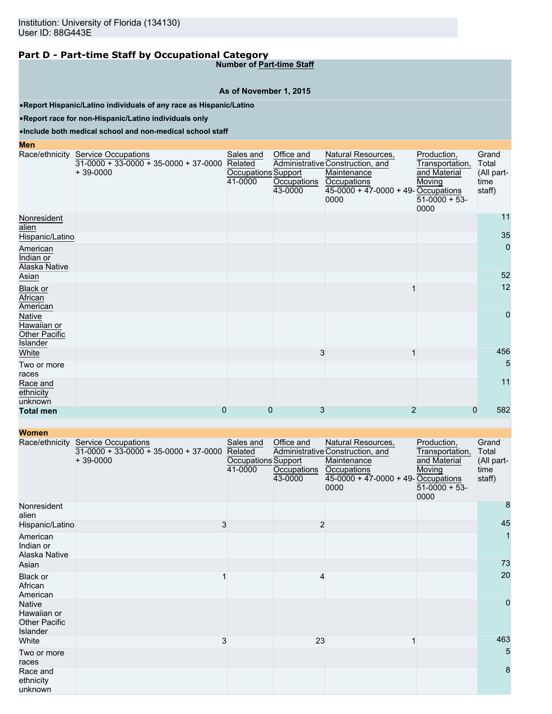**Number of Part-time Staff**

#### **As of November 1, 2015**

•**Report Hispanic/Latino individuals of any race as Hispanic/Latino**

•**Report race for non-Hispanic/Latino individuals only**

#### •**Include both medical school and non-medical school staff**

**Men**

|                                                    | Race/ethnicity Service Occupations<br>$31-0000 + 33-0000 + 35-0000 + 37-0000$<br>$+39-0000$ | Sales and<br>Related<br>Occupations Support<br>41-0000 | Office and<br>Occupations<br>43-0000 | Natural Resources,<br>Administrative Construction, and<br>Maintenance<br>Occupations<br>$45-0000 + 47-0000 + 49$ -Occupations<br>0000 | Production,<br>Transportation,<br>and Material<br>Moving<br>$51-0000 + 53$<br>0000 | Grand<br>Total<br>(All part-<br>time<br>staff) |
|----------------------------------------------------|---------------------------------------------------------------------------------------------|--------------------------------------------------------|--------------------------------------|---------------------------------------------------------------------------------------------------------------------------------------|------------------------------------------------------------------------------------|------------------------------------------------|
| Nonresident<br>alien                               |                                                                                             |                                                        |                                      |                                                                                                                                       |                                                                                    | 11                                             |
| Hispanic/Latino                                    |                                                                                             |                                                        |                                      |                                                                                                                                       |                                                                                    | 35                                             |
| American<br>Indian or<br>Alaska Native             |                                                                                             |                                                        |                                      |                                                                                                                                       |                                                                                    | $\mathbf 0$                                    |
| Asian                                              |                                                                                             |                                                        |                                      |                                                                                                                                       |                                                                                    | 52                                             |
| Black or<br>African<br>American                    |                                                                                             |                                                        |                                      |                                                                                                                                       |                                                                                    | 12                                             |
| Native<br>Hawaiian or<br>Other Pacific<br>Islander |                                                                                             |                                                        |                                      |                                                                                                                                       |                                                                                    | $\mathbf 0$                                    |
| White                                              |                                                                                             |                                                        | 3                                    | 1                                                                                                                                     |                                                                                    | 456                                            |
| Two or more<br>races                               |                                                                                             |                                                        |                                      |                                                                                                                                       |                                                                                    | 5                                              |
| Race and<br>ethnicity<br>unknown                   |                                                                                             |                                                        |                                      |                                                                                                                                       |                                                                                    | 11                                             |
| <b>Total men</b>                                   | 0                                                                                           | $\Omega$                                               | 3                                    | 2                                                                                                                                     | 0                                                                                  | 582                                            |

| <b>TYVIIIGH</b>                                                  |                                                                                             |                                                        |                                      |                                                                                                                                       |                                                                                    |                                                |
|------------------------------------------------------------------|---------------------------------------------------------------------------------------------|--------------------------------------------------------|--------------------------------------|---------------------------------------------------------------------------------------------------------------------------------------|------------------------------------------------------------------------------------|------------------------------------------------|
|                                                                  | Race/ethnicity Service Occupations<br>$31-0000 + 33-0000 + 35-0000 + 37-0000$<br>$+39-0000$ | Sales and<br>Related<br>Occupations Support<br>41-0000 | Office and<br>Occupations<br>43-0000 | Natural Resources,<br>Administrative Construction, and<br>Maintenance<br>Occupations<br>$45-0000 + 47-0000 + 49$ -Occupations<br>0000 | Production,<br>Transportation,<br>and Material<br>Moving<br>$51-0000 + 53$<br>0000 | Grand<br>Total<br>(All part-<br>time<br>staff) |
| Nonresident<br>alien                                             |                                                                                             |                                                        |                                      |                                                                                                                                       |                                                                                    | 8                                              |
| Hispanic/Latino                                                  | 3                                                                                           |                                                        | $\overline{c}$                       |                                                                                                                                       |                                                                                    | 45                                             |
| American<br>Indian or<br>Alaska Native                           |                                                                                             |                                                        |                                      |                                                                                                                                       |                                                                                    |                                                |
| Asian                                                            |                                                                                             |                                                        |                                      |                                                                                                                                       |                                                                                    | 73                                             |
| Black or<br>African<br>American                                  |                                                                                             |                                                        | 4                                    |                                                                                                                                       |                                                                                    | 20                                             |
| <b>Native</b><br>Hawaiian or<br><b>Other Pacific</b><br>Islander |                                                                                             |                                                        |                                      |                                                                                                                                       |                                                                                    | $\pmb{0}$                                      |
| White                                                            | 3                                                                                           |                                                        | 23                                   |                                                                                                                                       |                                                                                    | 463                                            |
| Two or more<br>races                                             |                                                                                             |                                                        |                                      |                                                                                                                                       |                                                                                    | 5                                              |
| Race and<br>ethnicity<br>unknown                                 |                                                                                             |                                                        |                                      |                                                                                                                                       |                                                                                    | 8                                              |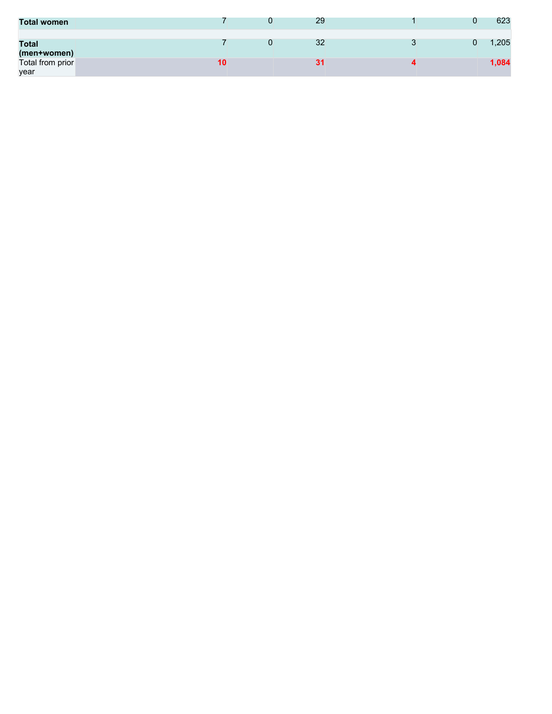| <b>Total women</b>          |    | 29 |  | 623   |
|-----------------------------|----|----|--|-------|
| <b>Total</b><br>(men+women) |    | 32 |  | ,205  |
| Total from prior<br>year    | 10 |    |  | 1,084 |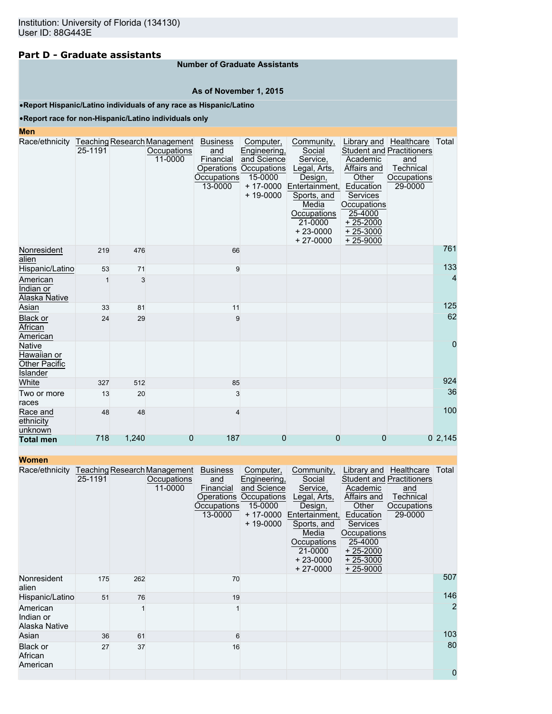## **Part D - Graduate assistants**

### **Number of Graduate Assistants**

#### **As of November 1, 2015**

•**Report Hispanic/Latino individuals of any race as Hispanic/Latino**

### •**Report race for non-Hispanic/Latino individuals only**

#### **Men**

| Race/ethnicity Teaching Research Management                             | 25-1191 |       | Occupations<br>11-0000 | <b>Business</b><br>and<br>Financial<br>Operations<br><b>Occupations</b><br>13-0000 | Computer,<br>Engineering,<br>and Science<br>Occupations<br>15-0000<br>$+ 17 - 0000$<br>$+ 19 - 0000$ | Community,<br>Social<br>Service,<br>Legal, Arts,<br>Design,<br>Entertainment,<br>Sports, and | Library and   Healthcare<br>Academic<br>Affairs and<br>Other<br>Education<br><b>Services</b> | <b>Student and Practitioners</b><br>and<br>Technical<br>Occupations<br>29-0000 | Total  |
|-------------------------------------------------------------------------|---------|-------|------------------------|------------------------------------------------------------------------------------|------------------------------------------------------------------------------------------------------|----------------------------------------------------------------------------------------------|----------------------------------------------------------------------------------------------|--------------------------------------------------------------------------------|--------|
|                                                                         |         |       |                        |                                                                                    |                                                                                                      | Media<br>Occupations<br>21-0000<br>$+23-0000$<br>$+27-0000$                                  | Occupations<br>25-4000<br>$+25-2000$<br>$+25-3000$<br>$+25-9000$                             |                                                                                |        |
| Nonresident<br>alien                                                    | 219     | 476   |                        | 66                                                                                 |                                                                                                      |                                                                                              |                                                                                              |                                                                                | 761    |
| Hispanic/Latino                                                         | 53      | 71    |                        | 9                                                                                  |                                                                                                      |                                                                                              |                                                                                              |                                                                                | 133    |
| American<br>Indian or<br>Alaska Native                                  |         | 3     |                        |                                                                                    |                                                                                                      |                                                                                              |                                                                                              |                                                                                | 4      |
| Asian                                                                   | 33      | 81    |                        | 11                                                                                 |                                                                                                      |                                                                                              |                                                                                              |                                                                                | 125    |
| <b>Black or</b><br>African<br>American                                  | 24      | 29    |                        | 9                                                                                  |                                                                                                      |                                                                                              |                                                                                              |                                                                                | 62     |
| <b>Native</b><br>Hawaiian or<br><b>Other Pacific</b><br><b>Islander</b> |         |       |                        |                                                                                    |                                                                                                      |                                                                                              |                                                                                              |                                                                                | 0      |
| White                                                                   | 327     | 512   |                        | 85                                                                                 |                                                                                                      |                                                                                              |                                                                                              |                                                                                | 924    |
| Two or more<br>races                                                    | 13      | 20    |                        | 3                                                                                  |                                                                                                      |                                                                                              |                                                                                              |                                                                                | 36     |
| Race and<br>ethnicity<br>unknown                                        | 48      | 48    |                        | $\overline{\mathbf{A}}$                                                            |                                                                                                      |                                                                                              |                                                                                              |                                                                                | 100    |
| <b>Total men</b>                                                        | 718     | 1,240 | 0                      | 187                                                                                | 0                                                                                                    | 0                                                                                            | 0                                                                                            |                                                                                | 02,145 |

| Women |  |
|-------|--|
|-------|--|

| women                                  |         |     |                                                               |                                                               |                                                                                                                 |                                                                                                                                                             |                                                                                                                                      |                                                                                                          |                |
|----------------------------------------|---------|-----|---------------------------------------------------------------|---------------------------------------------------------------|-----------------------------------------------------------------------------------------------------------------|-------------------------------------------------------------------------------------------------------------------------------------------------------------|--------------------------------------------------------------------------------------------------------------------------------------|----------------------------------------------------------------------------------------------------------|----------------|
| Race/ethnicity                         | 25-1191 |     | Teaching Research Management<br><b>Occupations</b><br>11-0000 | <b>Business</b><br>and<br>Financial<br>Occupations<br>13-0000 | Computer,<br>Engineering,<br>and Science<br>Operations Occupations<br>15-0000<br>$+ 17 - 0000$<br>$+ 19 - 0000$ | Community,<br>Social<br>Service,<br>Legal, Arts,<br>Design,<br>Entertainment,<br>Sports, and<br>Media<br>Occupations<br>21-0000<br>$+23-0000$<br>$+27-0000$ | Academic<br>Affairs and<br>Other<br>Education<br><b>Services</b><br>Occupations<br>25-4000<br>$+25-2000$<br>$+25-3000$<br>$+25-9000$ | Library and Healthcare<br><b>Student and Practitioners</b><br>and<br>Technical<br>Occupations<br>29-0000 | Total          |
| Nonresident<br>alien                   | 175     | 262 |                                                               | 70                                                            |                                                                                                                 |                                                                                                                                                             |                                                                                                                                      |                                                                                                          | 507            |
| Hispanic/Latino                        | 51      | 76  |                                                               | 19                                                            |                                                                                                                 |                                                                                                                                                             |                                                                                                                                      |                                                                                                          | 146            |
| American<br>Indian or<br>Alaska Native |         |     |                                                               |                                                               |                                                                                                                 |                                                                                                                                                             |                                                                                                                                      |                                                                                                          | $\overline{2}$ |
| Asian                                  | 36      | 61  |                                                               | 6                                                             |                                                                                                                 |                                                                                                                                                             |                                                                                                                                      |                                                                                                          | 103            |
| <b>Black or</b><br>African<br>American | 27      | 37  |                                                               | 16                                                            |                                                                                                                 |                                                                                                                                                             |                                                                                                                                      |                                                                                                          | 80             |
|                                        |         |     |                                                               |                                                               |                                                                                                                 |                                                                                                                                                             |                                                                                                                                      |                                                                                                          | 0              |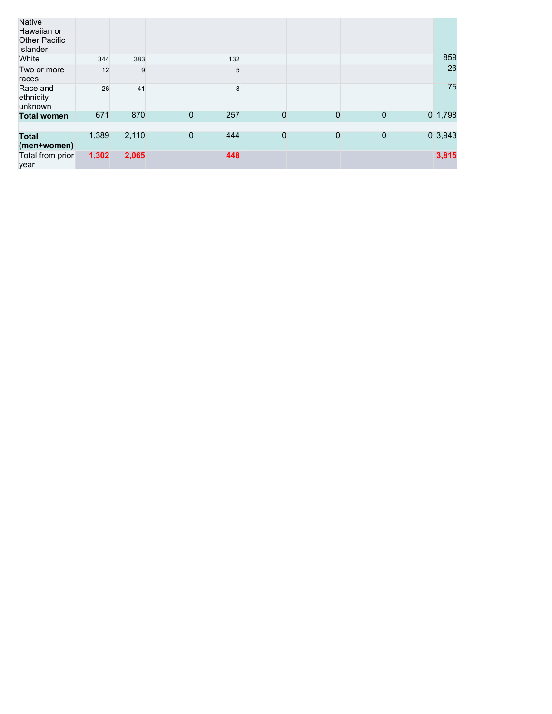| Native<br>Hawaiian or<br><b>Other Pacific</b><br>Islander |       |       |   |     |                |   |                |            |
|-----------------------------------------------------------|-------|-------|---|-----|----------------|---|----------------|------------|
| White                                                     | 344   | 383   |   | 132 |                |   |                | 859        |
| Two or more<br>races                                      | 12    | 9     |   | 5   |                |   |                | 26         |
| Race and<br>ethnicity<br>unknown                          | 26    | 41    |   | 8   |                |   |                | 75         |
| <b>Total women</b>                                        | 671   | 870   | 0 | 257 | 0              | 0 | $\mathbf 0$    | $0$ 1,798  |
|                                                           |       |       |   |     |                |   |                |            |
| <b>Total</b><br>(men+women)                               | 1,389 | 2,110 | 0 | 444 | $\overline{0}$ | 0 | $\overline{0}$ | $0\,3,943$ |
| Total from prior<br>year                                  | 1,302 | 2,065 |   | 448 |                |   |                | 3,815      |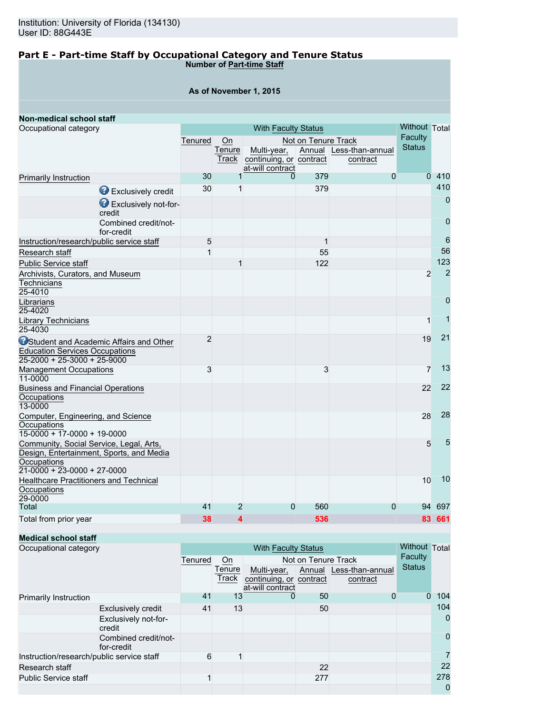### **Part E - Part-time Staff by Occupational Category and Tenure Status Number of Part-time Staff**

|  | As of November 1, 2015 |  |
|--|------------------------|--|
|--|------------------------|--|

| Non-medical school staff                                                                                                            |                |                |                         |                     |                         |                |                |
|-------------------------------------------------------------------------------------------------------------------------------------|----------------|----------------|-------------------------|---------------------|-------------------------|----------------|----------------|
| Occupational category                                                                                                               |                |                | Without Total           |                     |                         |                |                |
|                                                                                                                                     | Tenured        | On             |                         | Not on Tenure Track |                         | <b>Faculty</b> |                |
|                                                                                                                                     |                | Tenure         | Multi-year,             |                     | Annual Less-than-annual | <b>Status</b>  |                |
|                                                                                                                                     |                | Track          | continuing, or contract |                     | contract                |                |                |
|                                                                                                                                     |                |                | at-will contract        |                     |                         |                |                |
| Primarily Instruction                                                                                                               | 30             | 1              | 0                       | 379                 | $\overline{0}$          |                | 0,410          |
| Exclusively credit                                                                                                                  | 30             | 1              |                         | 379                 |                         |                | 410            |
| Exclusively not-for-<br>credit                                                                                                      |                |                |                         |                     |                         |                | $\overline{0}$ |
| Combined credit/not-<br>for-credit                                                                                                  |                |                |                         |                     |                         |                | $\mathbf 0$    |
| Instruction/research/public service staff                                                                                           | 5              |                |                         | 1                   |                         |                | 6              |
| Research staff                                                                                                                      | 1              |                |                         | 55                  |                         |                | 56             |
| <b>Public Service staff</b>                                                                                                         |                | 1              |                         | 122                 |                         |                | 123            |
| Archivists, Curators, and Museum<br>Technicians<br>25-4010                                                                          |                |                |                         |                     |                         | $\overline{2}$ | $\overline{2}$ |
| Librarians<br>25-4020                                                                                                               |                |                |                         |                     |                         |                | $\overline{0}$ |
| <b>Library Technicians</b><br>25-4030                                                                                               |                |                |                         |                     |                         | $\mathbf{1}$   |                |
| <b>O</b> Student and Academic Affairs and Other<br><b>Education Services Occupations</b><br>$25 - 2000 + 25 - 3000 + 25 - 9000$     | $\overline{2}$ |                |                         |                     |                         | 19             | 21             |
| <b>Management Occupations</b><br>11-0000                                                                                            | 3              |                |                         | 3                   |                         | $\overline{7}$ | 13             |
| <b>Business and Financial Operations</b><br>Occupations<br>13-0000                                                                  |                |                |                         |                     |                         | 22             | 22             |
| Computer, Engineering, and Science<br>Occupations<br>$15-0000 + 17-0000 + 19-0000$                                                  |                |                |                         |                     |                         | 28             | 28             |
| Community, Social Service, Legal, Arts,<br>Design, Entertainment, Sports, and Media<br>Occupations<br>$21-0000 + 23-0000 + 27-0000$ |                |                |                         |                     |                         | 5              | 5              |
| <b>Healthcare Practitioners and Technical</b><br>Occupations<br>29-0000                                                             |                |                |                         |                     |                         | 10             | 10             |
| Total                                                                                                                               | 41             | $\overline{2}$ | $\mathbf 0$             | 560                 | $\overline{0}$          | 94             | 697            |
| Total from prior year                                                                                                               | 38             | 4              |                         | 536                 |                         |                | 83 661         |

## **Medical school staff**

| Occupational category                     |                                    |         |        | <b>Without Total</b>                        |         |                         |               |             |
|-------------------------------------------|------------------------------------|---------|--------|---------------------------------------------|---------|-------------------------|---------------|-------------|
|                                           |                                    | Tenured | On     | Not on Tenure Track                         | Faculty |                         |               |             |
|                                           |                                    |         | Tenure | Multi-year,                                 |         | Annual Less-than-annual | <b>Status</b> |             |
|                                           |                                    |         | Track  | continuing, or contract<br>at-will contract |         | contract                |               |             |
| Primarily Instruction                     |                                    | 41      | 13     | 0                                           | 50      |                         |               | 104         |
|                                           | <b>Exclusively credit</b>          | 41      | 13     |                                             | 50      |                         |               | 104         |
|                                           | Exclusively not-for-<br>credit     |         |        |                                             |         |                         |               | 0           |
|                                           | Combined credit/not-<br>for-credit |         |        |                                             |         |                         |               | $\mathbf 0$ |
| Instruction/research/public service staff |                                    | 6       |        |                                             |         |                         |               | 7           |
| Research staff                            |                                    |         |        |                                             | 22      |                         |               | 22          |
| <b>Public Service staff</b>               |                                    |         |        |                                             | 277     |                         |               | 278         |
|                                           |                                    |         |        |                                             |         |                         |               | 0           |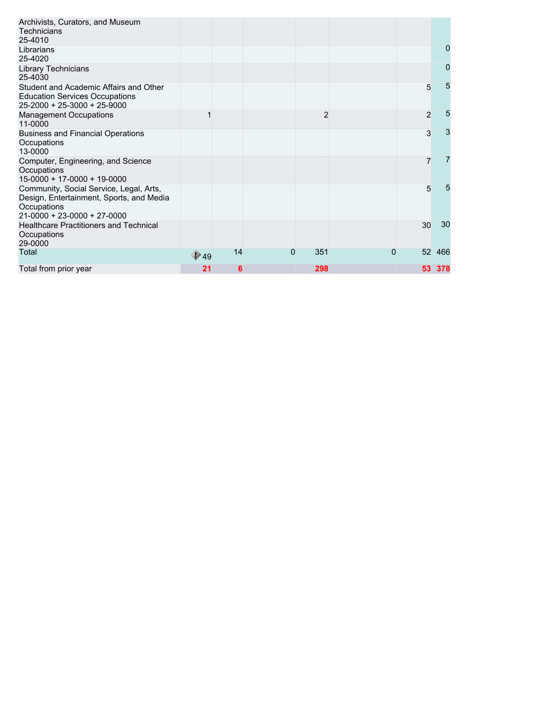| Archivists, Curators, and Museum<br>Technicians<br>25-4010                                                                                |                       |    |   |     |   |                |                |
|-------------------------------------------------------------------------------------------------------------------------------------------|-----------------------|----|---|-----|---|----------------|----------------|
| Librarians<br>25-4020                                                                                                                     |                       |    |   |     |   |                | 0              |
| <b>Library Technicians</b><br>25-4030                                                                                                     |                       |    |   |     |   |                | $\overline{0}$ |
| Student and Academic Affairs and Other<br><b>Education Services Occupations</b><br>$25 - 2000 + 25 - 3000 + 25 - 9000$                    |                       |    |   |     |   | 5              | 5              |
| <b>Management Occupations</b><br>11-0000                                                                                                  |                       |    |   | 2   |   | $\overline{2}$ | 5              |
| <b>Business and Financial Operations</b><br>Occupations<br>13-0000                                                                        |                       |    |   |     |   | 3              | 3              |
| Computer, Engineering, and Science<br>Occupations<br>$15-0000 + 17-0000 + 19-0000$                                                        |                       |    |   |     |   | $\overline{7}$ | 7              |
| Community, Social Service, Legal, Arts,<br>Design, Entertainment, Sports, and Media<br>Occupations<br>$21 - 0000 + 23 - 0000 + 27 - 0000$ |                       |    |   |     |   | 5              | 5              |
| <b>Healthcare Practitioners and Technical</b><br>Occupations<br>29-0000                                                                   |                       |    |   |     |   | 30             | 30             |
| Total                                                                                                                                     | $\bigtriangledown$ 49 | 14 | 0 | 351 | 0 | 52             | 466            |
| Total from prior year                                                                                                                     | 21                    | 6  |   | 298 |   |                | 53 378         |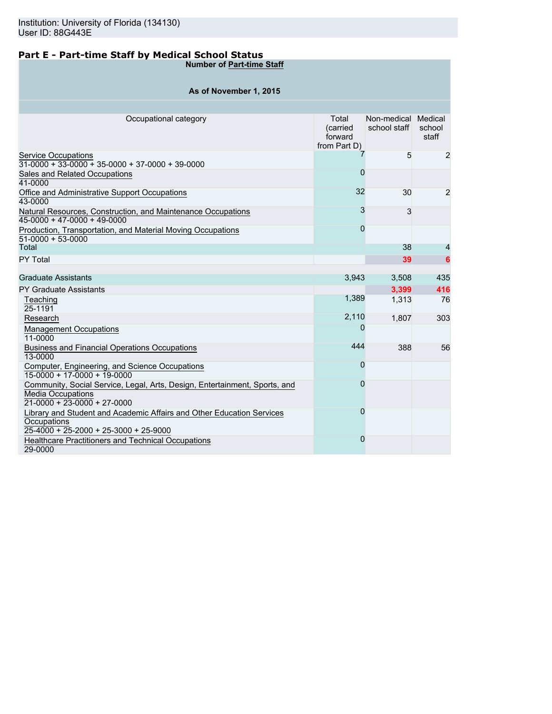## **Part E - Part-time Staff by Medical School Status**

**Number of Part-time Staff**

| As of November 1, 2015 |  |  |
|------------------------|--|--|
|------------------------|--|--|

| Occupational category                                                                                                                   | Total<br>(carried<br>forward<br>from Part D) | Non-medical Medical<br>school staff | school<br>staff |
|-----------------------------------------------------------------------------------------------------------------------------------------|----------------------------------------------|-------------------------------------|-----------------|
| <b>Service Occupations</b><br>$31-0000 + 33-0000 + 35-0000 + 37-0000 + 39-0000$                                                         |                                              | 5                                   | $\overline{2}$  |
| Sales and Related Occupations<br>41-0000                                                                                                | $\overline{0}$                               |                                     |                 |
| Office and Administrative Support Occupations<br>43-0000                                                                                | 32                                           | 30                                  | 2               |
| Natural Resources, Construction, and Maintenance Occupations<br>$45-0000 + 47-0000 + 49-0000$                                           | 3                                            | 3                                   |                 |
| Production, Transportation, and Material Moving Occupations<br>$51-0000 + 53-0000$                                                      | $\overline{0}$                               |                                     |                 |
| Total                                                                                                                                   |                                              | 38                                  | 4               |
| PY Total                                                                                                                                |                                              | 39                                  | 6               |
|                                                                                                                                         |                                              |                                     |                 |
| <b>Graduate Assistants</b>                                                                                                              | 3,943                                        | 3,508                               | 435             |
| <b>PY Graduate Assistants</b>                                                                                                           |                                              | 3,399                               | 416             |
| Teaching                                                                                                                                | 1,389                                        | 1.313                               | 76              |
| 25-1191                                                                                                                                 | 2,110                                        |                                     |                 |
| Research                                                                                                                                | 0                                            | 1,807                               | 303             |
| <b>Management Occupations</b><br>11-0000                                                                                                |                                              |                                     |                 |
| <b>Business and Financial Operations Occupations</b><br>13-0000                                                                         | 444                                          | 388                                 | 56              |
| Computer, Engineering, and Science Occupations<br>15-0000 + 17-0000 + 19-0000                                                           | 0                                            |                                     |                 |
| Community, Social Service, Legal, Arts, Design, Entertainment, Sports, and<br><b>Media Occupations</b><br>$21-0000 + 23-0000 + 27-0000$ | 0                                            |                                     |                 |
| Library and Student and Academic Affairs and Other Education Services<br>Occupations<br>$25-4000 + 25-2000 + 25-3000 + 25-9000$         | 0                                            |                                     |                 |
| Healthcare Practitioners and Technical Occupations<br>29-0000                                                                           | $\overline{0}$                               |                                     |                 |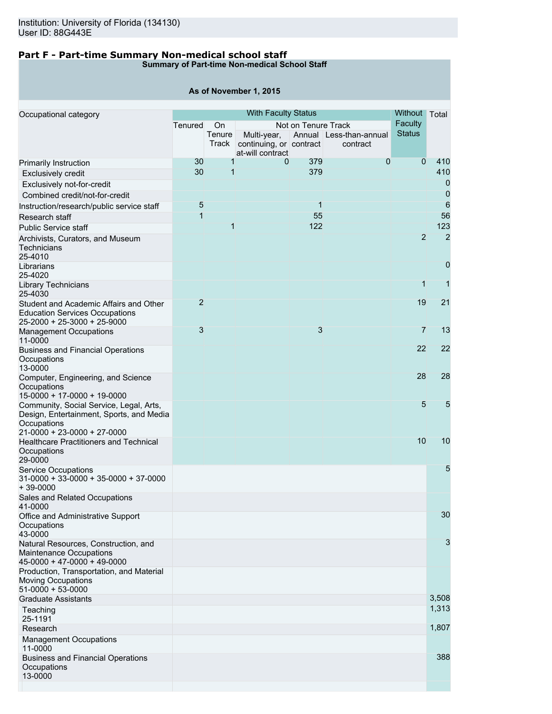## **Part F - Part-time Summary Non-medical school staff**

**Summary of Part-time Non-medical School Staff**

|                                                                                                                                   |                |                 | As of November 1, 2015                                     |                     |                                     |                |                |
|-----------------------------------------------------------------------------------------------------------------------------------|----------------|-----------------|------------------------------------------------------------|---------------------|-------------------------------------|----------------|----------------|
| Occupational category                                                                                                             |                |                 | <b>With Faculty Status</b>                                 |                     |                                     | Without        | Total          |
|                                                                                                                                   | Tenured        | On              |                                                            | Not on Tenure Track |                                     | Faculty        |                |
|                                                                                                                                   |                | Tenure<br>Track | Multi-year,<br>continuing, or contract<br>at-will contract |                     | Annual Less-than-annual<br>contract | <b>Status</b>  |                |
| Primarily Instruction                                                                                                             | 30             | 1               | 0                                                          | 379                 | $\mathbf{0}$                        | $\overline{0}$ | 410            |
| <b>Exclusively credit</b>                                                                                                         | 30             | 1               |                                                            | 379                 |                                     |                | 410            |
| Exclusively not-for-credit                                                                                                        |                |                 |                                                            |                     |                                     |                | 0              |
| Combined credit/not-for-credit                                                                                                    |                |                 |                                                            |                     |                                     |                | 0              |
| Instruction/research/public service staff                                                                                         | 5              |                 |                                                            | 1                   |                                     |                | 6              |
| Research staff                                                                                                                    | 1              |                 |                                                            | 55                  |                                     |                | 56             |
| <b>Public Service staff</b>                                                                                                       |                | 1               |                                                            | 122                 |                                     |                | 123            |
| Archivists, Curators, and Museum<br>Technicians<br>25-4010                                                                        |                |                 |                                                            |                     |                                     | $\overline{2}$ | $\overline{2}$ |
| Librarians<br>25-4020                                                                                                             |                |                 |                                                            |                     |                                     |                | 0              |
| Library Technicians<br>25-4030                                                                                                    |                |                 |                                                            |                     |                                     | $\mathbf{1}$   | 1              |
| Student and Academic Affairs and Other<br><b>Education Services Occupations</b><br>25-2000 + 25-3000 + 25-9000                    | $\overline{2}$ |                 |                                                            |                     |                                     | 19             | 21             |
| <b>Management Occupations</b><br>11-0000                                                                                          | 3              |                 |                                                            | 3                   |                                     | $\overline{7}$ | 13             |
| <b>Business and Financial Operations</b><br>Occupations<br>13-0000                                                                |                |                 |                                                            |                     |                                     | 22             | 22             |
| Computer, Engineering, and Science<br>Occupations<br>15-0000 + 17-0000 + 19-0000                                                  |                |                 |                                                            |                     |                                     | 28             | 28             |
| Community, Social Service, Legal, Arts,<br>Design, Entertainment, Sports, and Media<br>Occupations<br>21-0000 + 23-0000 + 27-0000 |                |                 |                                                            |                     |                                     | 5              | 5              |
| <b>Healthcare Practitioners and Technical</b><br>Occupations<br>29-0000                                                           |                |                 |                                                            |                     |                                     | 10             | 10             |
| <b>Service Occupations</b><br>31-0000 + 33-0000 + 35-0000 + 37-0000<br>$+39-0000$                                                 |                |                 |                                                            |                     |                                     |                | 5              |
| Sales and Related Occupations<br>41-0000                                                                                          |                |                 |                                                            |                     |                                     |                |                |
| Office and Administrative Support<br>Occupations<br>43-0000                                                                       |                |                 |                                                            |                     |                                     |                | 30             |
| Natural Resources, Construction, and<br><b>Maintenance Occupations</b><br>45-0000 + 47-0000 + 49-0000                             |                |                 |                                                            |                     |                                     |                | 3              |
| Production, Transportation, and Material<br>Moving Occupations<br>51-0000 + 53-0000                                               |                |                 |                                                            |                     |                                     |                |                |
| <b>Graduate Assistants</b>                                                                                                        |                |                 |                                                            |                     |                                     |                | 3,508          |
| Teaching<br>25-1191                                                                                                               |                |                 |                                                            |                     |                                     |                | 1,313          |
| Research                                                                                                                          |                |                 |                                                            |                     |                                     |                | 1,807          |
| <b>Management Occupations</b><br>11-0000                                                                                          |                |                 |                                                            |                     |                                     |                |                |
| <b>Business and Financial Operations</b><br>Occupations<br>13-0000                                                                |                |                 |                                                            |                     |                                     |                | 388            |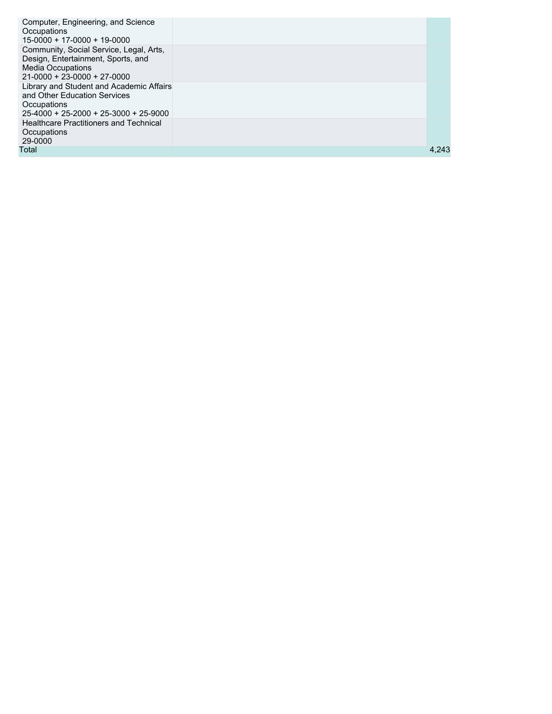| Computer, Engineering, and Science<br>Occupations<br>15-0000 + 17-0000 + 19-0000                                                                 |       |
|--------------------------------------------------------------------------------------------------------------------------------------------------|-------|
| Community, Social Service, Legal, Arts,<br>Design, Entertainment, Sports, and<br><b>Media Occupations</b><br>$21 - 0000 + 23 - 0000 + 27 - 0000$ |       |
| Library and Student and Academic Affairs<br>and Other Education Services<br>Occupations<br>$25-4000 + 25-2000 + 25-3000 + 25-9000$               |       |
| <b>Healthcare Practitioners and Technical</b><br>Occupations<br>29-0000                                                                          |       |
| Total                                                                                                                                            | 4,243 |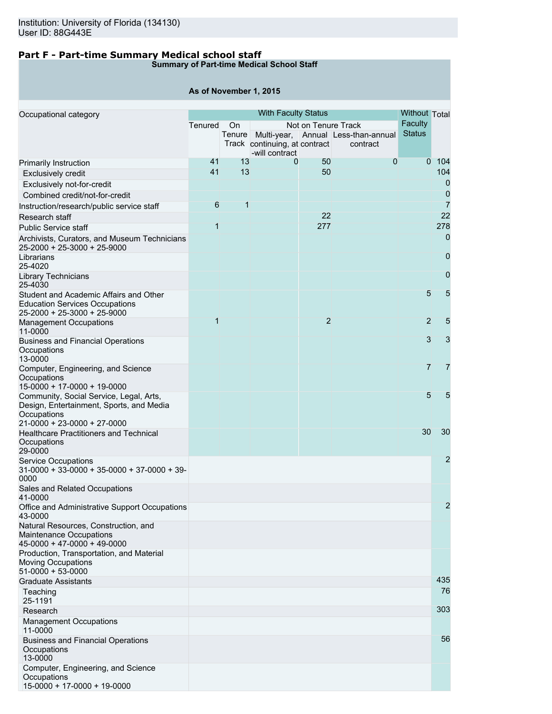## **Part F - Part-time Summary Medical school staff**

## **Summary of Part-time Medical School Staff**

## **As of November 1, 2015**

| Occupational category                                                                                                                     |              | <b>With Faculty Status</b> |                                                 |                     |                                                        |                | <b>Without Total</b> |
|-------------------------------------------------------------------------------------------------------------------------------------------|--------------|----------------------------|-------------------------------------------------|---------------------|--------------------------------------------------------|----------------|----------------------|
|                                                                                                                                           | Tenured      | On                         |                                                 | Not on Tenure Track |                                                        | Faculty        |                      |
|                                                                                                                                           |              |                            | Track continuing, at contract<br>-will contract |                     | Tenure Multi-year, Annual Less-than-annual<br>contract | <b>Status</b>  |                      |
| Primarily Instruction                                                                                                                     | 41           | 13                         | 0                                               | 50                  | $\overline{0}$                                         | $\Omega$       | 104                  |
| <b>Exclusively credit</b>                                                                                                                 | 41           | 13                         |                                                 | 50                  |                                                        |                | 104                  |
| Exclusively not-for-credit                                                                                                                |              |                            |                                                 |                     |                                                        |                | 0                    |
| Combined credit/not-for-credit                                                                                                            |              |                            |                                                 |                     |                                                        |                | $\overline{0}$       |
| Instruction/research/public service staff                                                                                                 | 6            | 1                          |                                                 |                     |                                                        |                | $\overline{7}$       |
|                                                                                                                                           |              |                            |                                                 | 22                  |                                                        |                | 22                   |
| Research staff                                                                                                                            | $\mathbf{1}$ |                            |                                                 | 277                 |                                                        |                | 278                  |
| <b>Public Service staff</b>                                                                                                               |              |                            |                                                 |                     |                                                        |                |                      |
| Archivists, Curators, and Museum Technicians<br>25-2000 + 25-3000 + 25-9000                                                               |              |                            |                                                 |                     |                                                        |                | 0                    |
| Librarians<br>25-4020                                                                                                                     |              |                            |                                                 |                     |                                                        |                | 0                    |
| Library Technicians<br>25-4030                                                                                                            |              |                            |                                                 |                     |                                                        |                | $\mathbf 0$          |
| Student and Academic Affairs and Other<br><b>Education Services Occupations</b><br>25-2000 + 25-3000 + 25-9000                            |              |                            |                                                 |                     |                                                        | 5              | 5                    |
| <b>Management Occupations</b><br>11-0000                                                                                                  | 1            |                            |                                                 | $\overline{2}$      |                                                        | $\overline{2}$ | 5                    |
| <b>Business and Financial Operations</b><br>Occupations<br>13-0000                                                                        |              |                            |                                                 |                     |                                                        | 3              | 3                    |
| Computer, Engineering, and Science<br>Occupations<br>15-0000 + 17-0000 + 19-0000                                                          |              |                            |                                                 |                     |                                                        | $\overline{7}$ | $\overline{7}$       |
| Community, Social Service, Legal, Arts,<br>Design, Entertainment, Sports, and Media<br>Occupations<br>$21 - 0000 + 23 - 0000 + 27 - 0000$ |              |                            |                                                 |                     |                                                        | 5              | 5                    |
| <b>Healthcare Practitioners and Technical</b><br>Occupations<br>29-0000                                                                   |              |                            |                                                 |                     |                                                        | 30             | 30                   |
| <b>Service Occupations</b><br>$31-0000 + 33-0000 + 35-0000 + 37-0000 + 39-$<br>0000                                                       |              |                            |                                                 |                     |                                                        |                | 2                    |
| Sales and Related Occupations<br>41-0000                                                                                                  |              |                            |                                                 |                     |                                                        |                |                      |
| Office and Administrative Support Occupations<br>43-0000                                                                                  |              |                            |                                                 |                     |                                                        |                | $\overline{c}$       |
| Natural Resources, Construction, and<br>Maintenance Occupations<br>$45-0000 + 47-0000 + 49-0000$                                          |              |                            |                                                 |                     |                                                        |                |                      |
| Production, Transportation, and Material<br><b>Moving Occupations</b><br>$51-0000 + 53-0000$                                              |              |                            |                                                 |                     |                                                        |                |                      |
| <b>Graduate Assistants</b>                                                                                                                |              |                            |                                                 |                     |                                                        |                | 435                  |
| Teaching<br>25-1191                                                                                                                       |              |                            |                                                 |                     |                                                        |                | 76                   |
| Research                                                                                                                                  |              |                            |                                                 |                     |                                                        |                | 303                  |
| <b>Management Occupations</b><br>11-0000                                                                                                  |              |                            |                                                 |                     |                                                        |                |                      |
| <b>Business and Financial Operations</b><br>Occupations<br>13-0000                                                                        |              |                            |                                                 |                     |                                                        |                | 56                   |
| Computer, Engineering, and Science<br>Occupations<br>15-0000 + 17-0000 + 19-0000                                                          |              |                            |                                                 |                     |                                                        |                |                      |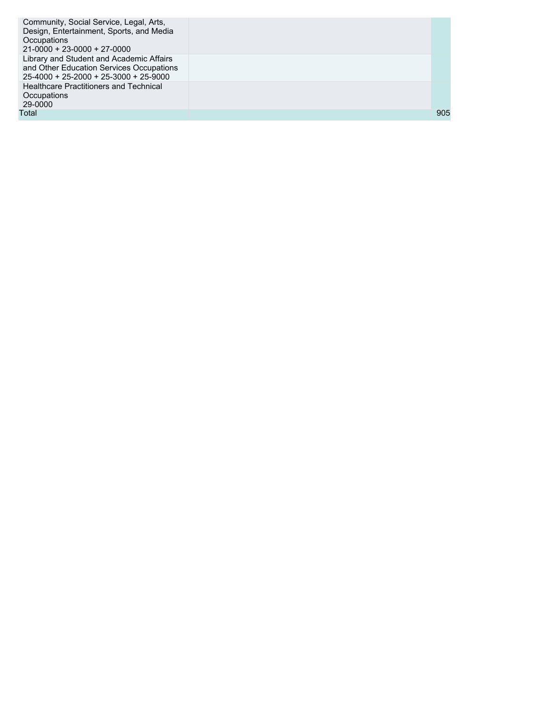| Community, Social Service, Legal, Arts,<br>Design, Entertainment, Sports, and Media<br>Occupations<br>$21-0000 + 23-0000 + 27-0000$ |     |
|-------------------------------------------------------------------------------------------------------------------------------------|-----|
| Library and Student and Academic Affairs<br>and Other Education Services Occupations<br>$25-4000 + 25-2000 + 25-3000 + 25-9000$     |     |
| <b>Healthcare Practitioners and Technical</b><br>Occupations<br>29-0000                                                             |     |
| Total                                                                                                                               | 905 |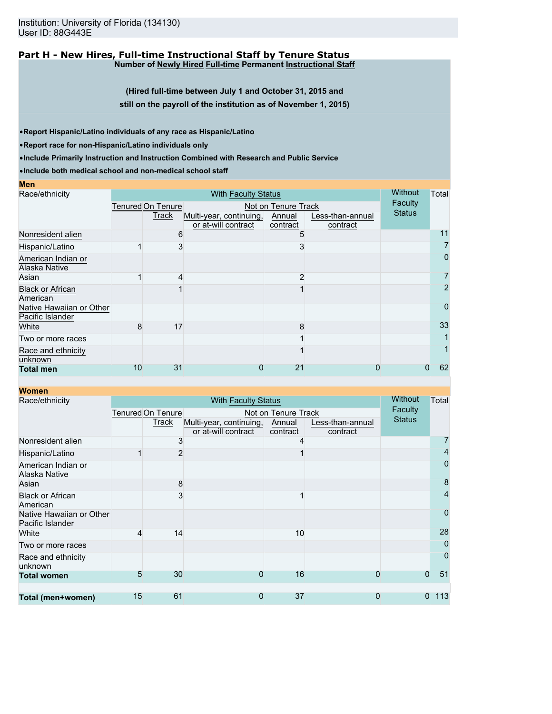Institution: University of Florida (134130) User ID: 88G443E

#### **Part H - New Hires, Full-time Instructional Staff by Tenure Status Number of Newly Hired Full-time Permanent Instructional Staff**

**(Hired full-time between July 1 and October 31, 2015 and still on the payroll of the institution as of November 1, 2015)**

•**Report Hispanic/Latino individuals of any race as Hispanic/Latino**

•**Report race for non-Hispanic/Latino individuals only**

•**Include Primarily Instruction and Instruction Combined with Research and Public Service**

•**Include both medical school and non-medical school staff**

| Race/ethnicity                               | <b>With Faculty Status</b> |                          |                                                |                     |                              |               | Total |
|----------------------------------------------|----------------------------|--------------------------|------------------------------------------------|---------------------|------------------------------|---------------|-------|
|                                              |                            | <b>Tenured On Tenure</b> |                                                | Not on Tenure Track |                              | Faculty       |       |
|                                              |                            | Track                    | Multi-year, continuing,<br>or at-will contract | Annual<br>contract  | Less-than-annual<br>contract | <b>Status</b> |       |
| Nonresident alien                            |                            | 6                        |                                                |                     |                              |               | 11    |
| Hispanic/Latino                              |                            | 3                        |                                                |                     |                              |               |       |
| American Indian or<br>Alaska Native          |                            |                          |                                                |                     |                              |               | 0     |
| Asian                                        |                            | 4                        |                                                | 2                   |                              |               |       |
| <b>Black or African</b><br>American          |                            |                          |                                                |                     |                              |               | 2     |
| Native Hawaiian or Other<br>Pacific Islander |                            |                          |                                                |                     |                              |               | 0     |
| White                                        | 8                          | 17                       |                                                | 8                   |                              |               | 33    |
| Two or more races                            |                            |                          |                                                |                     |                              |               |       |
| Race and ethnicity<br>unknown                |                            |                          |                                                |                     |                              |               |       |
| <b>Total men</b>                             | 10                         | 31                       | 0                                              | 21                  |                              |               | 62    |

**Women**

**Men**

| Race/ethnicity                               | <b>With Faculty Status</b>               |                |                                                |                    |                              |                | Total               |
|----------------------------------------------|------------------------------------------|----------------|------------------------------------------------|--------------------|------------------------------|----------------|---------------------|
|                                              | Tenured On Tenure<br>Not on Tenure Track |                |                                                |                    |                              | <b>Faculty</b> |                     |
|                                              |                                          | Track          | Multi-year, continuing,<br>or at-will contract | Annual<br>contract | Less-than-annual<br>contract | <b>Status</b>  |                     |
| Nonresident alien                            |                                          | 3              |                                                |                    |                              |                |                     |
| Hispanic/Latino                              |                                          | $\overline{2}$ |                                                |                    |                              |                | $\overline{4}$      |
| American Indian or<br>Alaska Native          |                                          |                |                                                |                    |                              |                | 0                   |
| Asian                                        |                                          | 8              |                                                |                    |                              |                | 8                   |
| <b>Black or African</b><br>American          |                                          | 3              |                                                |                    |                              |                | 4                   |
| Native Hawaiian or Other<br>Pacific Islander |                                          |                |                                                |                    |                              |                | 0                   |
| White                                        | 4                                        | 14             |                                                | 10                 |                              |                | 28                  |
| Two or more races                            |                                          |                |                                                |                    |                              |                | 0                   |
| Race and ethnicity<br>unknown                |                                          |                |                                                |                    |                              |                | 0                   |
| <b>Total women</b>                           | 5                                        | 30             | 0                                              | 16                 | 0                            | $\Omega$       | 51                  |
| Total (men+women)                            | 15                                       | 61             | 0                                              | 37                 | $\mathbf 0$                  |                | 113<br>$\mathbf{0}$ |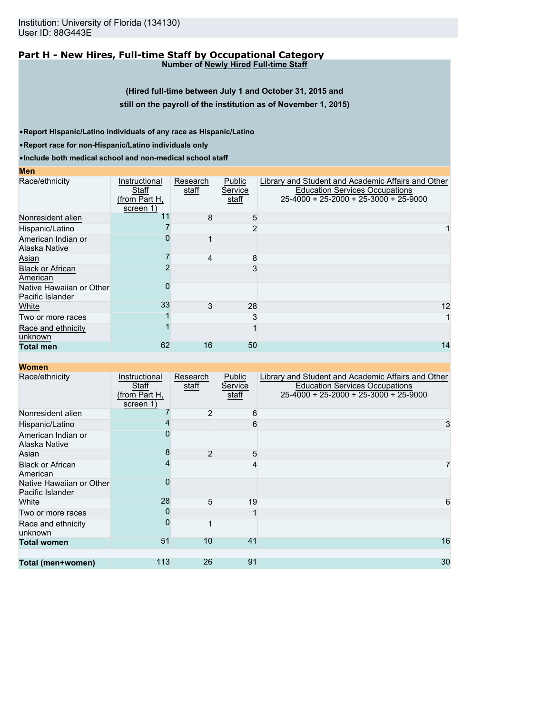Institution: University of Florida (134130) User ID: 88G443E

#### **Part H - New Hires, Full-time Staff by Occupational Category Number of Newly Hired Full-time Staff**

**(Hired full-time between July 1 and October 31, 2015 and still on the payroll of the institution as of November 1, 2015)**

•**Report Hispanic/Latino individuals of any race as Hispanic/Latino**

•**Report race for non-Hispanic/Latino individuals only**

•**Include both medical school and non-medical school staff**

**Men**

| Race/ethnicity                               | Instructional<br>Staff<br>(from Part H,<br>screen 1) | Research<br>staff | Public<br>Service<br>staff | Library and Student and Academic Affairs and Other<br><b>Education Services Occupations</b><br>$25-4000 + 25-2000 + 25-3000 + 25-9000$ |
|----------------------------------------------|------------------------------------------------------|-------------------|----------------------------|----------------------------------------------------------------------------------------------------------------------------------------|
| Nonresident alien                            | 11                                                   | 8                 | 5                          |                                                                                                                                        |
| Hispanic/Latino                              |                                                      |                   | $\mathcal{P}$              |                                                                                                                                        |
| American Indian or<br>Alaska Native          |                                                      |                   |                            |                                                                                                                                        |
| Asian                                        |                                                      | 4                 | 8                          |                                                                                                                                        |
| <b>Black or African</b><br>American          |                                                      |                   |                            |                                                                                                                                        |
| Native Hawaiian or Other<br>Pacific Islander |                                                      |                   |                            |                                                                                                                                        |
| White                                        | 33                                                   | 3                 | 28                         | 12                                                                                                                                     |
| Two or more races                            |                                                      |                   | 3                          |                                                                                                                                        |
| Race and ethnicity<br>unknown                |                                                      |                   |                            |                                                                                                                                        |
| <b>Total men</b>                             | 62                                                   | 16                | 50                         | 14                                                                                                                                     |

| Race/ethnicity                               | Instructional<br>Staff<br>(from Part H,<br>screen 1) | Research<br>staff | <b>Public</b><br>Service<br>staff | Library and Student and Academic Affairs and Other<br><b>Education Services Occupations</b><br>25-4000 + 25-2000 + 25-3000 + 25-9000 |
|----------------------------------------------|------------------------------------------------------|-------------------|-----------------------------------|--------------------------------------------------------------------------------------------------------------------------------------|
| Nonresident alien                            |                                                      | $\overline{2}$    | 6                                 |                                                                                                                                      |
| Hispanic/Latino                              |                                                      |                   | 6                                 | 3                                                                                                                                    |
| American Indian or<br>Alaska Native          |                                                      |                   |                                   |                                                                                                                                      |
| Asian                                        |                                                      | $\overline{2}$    | 5                                 |                                                                                                                                      |
| <b>Black or African</b><br>American          |                                                      |                   |                                   |                                                                                                                                      |
| Native Hawaiian or Other<br>Pacific Islander |                                                      |                   |                                   |                                                                                                                                      |
| White                                        | 28                                                   | 5                 | 19                                | 6                                                                                                                                    |
| Two or more races                            |                                                      |                   |                                   |                                                                                                                                      |
| Race and ethnicity<br>unknown                |                                                      |                   |                                   |                                                                                                                                      |
| <b>Total women</b>                           | 51                                                   | 10                | 41                                | 16                                                                                                                                   |
|                                              |                                                      |                   |                                   |                                                                                                                                      |
| Total (men+women)                            | 113                                                  | 26                | 91                                | 30                                                                                                                                   |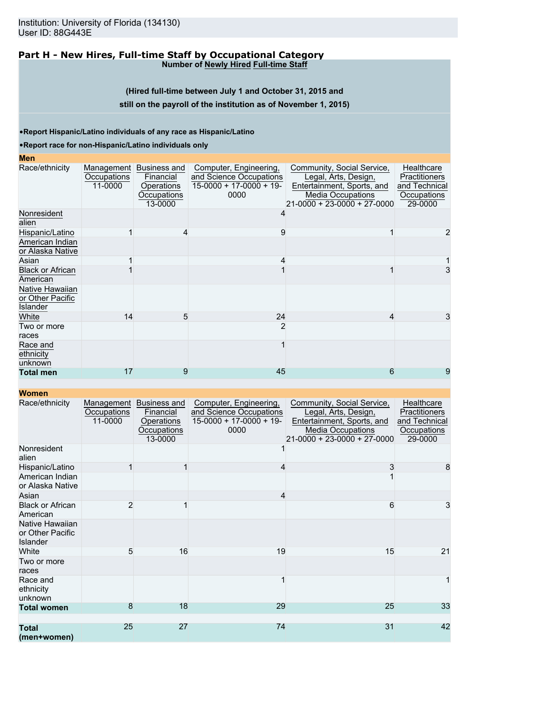#### **Part H - New Hires, Full-time Staff by Occupational Category Number of Newly Hired Full-time Staff**

**(Hired full-time between July 1 and October 31, 2015 and**

#### **still on the payroll of the institution as of November 1, 2015)**

•**Report Hispanic/Latino individuals of any race as Hispanic/Latino**

#### •**Report race for non-Hispanic/Latino individuals only**

## **Men**

| MCII                                                   |                        |                                                                              |                                                                                        |                                                                                                                                             |                                                                        |
|--------------------------------------------------------|------------------------|------------------------------------------------------------------------------|----------------------------------------------------------------------------------------|---------------------------------------------------------------------------------------------------------------------------------------------|------------------------------------------------------------------------|
| Race/ethnicity                                         | Occupations<br>11-0000 | Management Business and<br>Financial<br>Operations<br>Occupations<br>13-0000 | Computer, Engineering,<br>and Science Occupations<br>$15-0000 + 17-0000 + 19-$<br>0000 | Community, Social Service,<br>Legal, Arts, Design,<br>Entertainment, Sports, and<br><b>Media Occupations</b><br>21-0000 + 23-0000 + 27-0000 | Healthcare<br>Practitioners<br>and Technical<br>Occupations<br>29-0000 |
| Nonresident<br>alien                                   |                        |                                                                              | 4                                                                                      |                                                                                                                                             |                                                                        |
| Hispanic/Latino                                        |                        |                                                                              | 9                                                                                      |                                                                                                                                             |                                                                        |
| American Indian<br>or Alaska Native                    |                        |                                                                              |                                                                                        |                                                                                                                                             |                                                                        |
| Asian                                                  |                        |                                                                              |                                                                                        |                                                                                                                                             |                                                                        |
| <b>Black or African</b><br>American                    |                        |                                                                              |                                                                                        |                                                                                                                                             | 3                                                                      |
| Native Hawaiian<br>or Other Pacific<br><b>Islander</b> |                        |                                                                              |                                                                                        |                                                                                                                                             |                                                                        |
| White                                                  | 14                     | 5                                                                            | 24                                                                                     | 4                                                                                                                                           | 3                                                                      |
| Two or more<br>races                                   |                        |                                                                              | 2                                                                                      |                                                                                                                                             |                                                                        |
| Race and<br>ethnicity<br>unknown                       |                        |                                                                              |                                                                                        |                                                                                                                                             |                                                                        |
| <b>Total men</b>                                       | 17                     | 9                                                                            | 45                                                                                     | 6                                                                                                                                           | 9                                                                      |
|                                                        |                        |                                                                              |                                                                                        |                                                                                                                                             |                                                                        |

| Race/ethnicity                                         | Management<br>Occupations<br>11-0000 | Business and<br>Financial<br>Operations<br>Occupations<br>13-0000 | Computer, Engineering,<br>and Science Occupations<br>$15-0000 + 17-0000 + 19$<br>0000 | Community, Social Service,<br>Legal, Arts, Design,<br>Entertainment, Sports, and<br><b>Media Occupations</b><br>$21 - 0000 + 23 - 0000 + 27 - 0000$ | Healthcare<br>Practitioners<br>and Technical<br>Occupations<br>29-0000 |
|--------------------------------------------------------|--------------------------------------|-------------------------------------------------------------------|---------------------------------------------------------------------------------------|-----------------------------------------------------------------------------------------------------------------------------------------------------|------------------------------------------------------------------------|
| Nonresident<br>alien                                   |                                      |                                                                   |                                                                                       |                                                                                                                                                     |                                                                        |
| Hispanic/Latino<br>American Indian<br>or Alaska Native |                                      |                                                                   | 4                                                                                     | 3                                                                                                                                                   | 8                                                                      |
| Asian                                                  |                                      |                                                                   | 4                                                                                     |                                                                                                                                                     |                                                                        |
| <b>Black or African</b><br>American                    | $\overline{2}$                       |                                                                   |                                                                                       | 6                                                                                                                                                   | 3                                                                      |
| Native Hawaiian<br>or Other Pacific<br>Islander        |                                      |                                                                   |                                                                                       |                                                                                                                                                     |                                                                        |
| White                                                  | 5                                    | 16                                                                | 19                                                                                    | 15                                                                                                                                                  | 21                                                                     |
| Two or more<br>races                                   |                                      |                                                                   |                                                                                       |                                                                                                                                                     |                                                                        |
| Race and<br>ethnicity<br>unknown                       |                                      |                                                                   |                                                                                       |                                                                                                                                                     | 1                                                                      |
| <b>Total women</b>                                     | 8                                    | 18                                                                | 29                                                                                    | 25                                                                                                                                                  | 33                                                                     |
| <b>Total</b>                                           | 25                                   | 27                                                                | 74                                                                                    | 31                                                                                                                                                  | 42                                                                     |
| (men+women)                                            |                                      |                                                                   |                                                                                       |                                                                                                                                                     |                                                                        |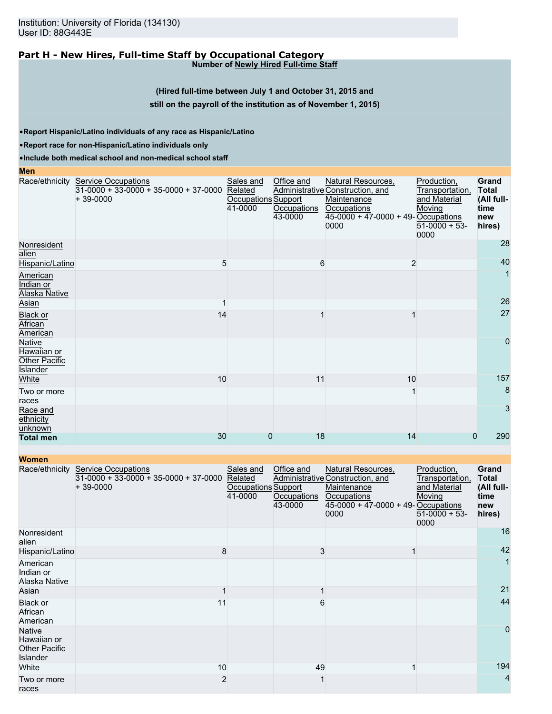# **Part H - New Hires, Full-time Staff by Occupational Category**

**Number of Newly Hired Full-time Staff**

## **(Hired full-time between July 1 and October 31, 2015 and**

#### **still on the payroll of the institution as of November 1, 2015)**

•**Report Hispanic/Latino individuals of any race as Hispanic/Latino**

•**Report race for non-Hispanic/Latino individuals only**

**Men**

•**Include both medical school and non-medical school staff**

|                                                    | Race/ethnicity Service Occupations<br>$31-0000 + 33-0000 + 35-0000 + 37-0000$<br>$+39-0000$ | Sales and<br>Related<br><b>Occupations Support</b><br>41-0000 | Office and<br>Occupations<br>43-0000 | Natural Resources,<br>Administrative Construction, and<br>Maintenance<br>Occupations<br>$45-0000 + 47-0000 + 49 -$ Occupations<br>0000 | Production,<br>Transportation,<br>and Material<br>Moving<br>$51-0000 + 53$<br>0000 | Grand<br><b>Total</b><br>(All full-<br>time<br>new<br>hires) |
|----------------------------------------------------|---------------------------------------------------------------------------------------------|---------------------------------------------------------------|--------------------------------------|----------------------------------------------------------------------------------------------------------------------------------------|------------------------------------------------------------------------------------|--------------------------------------------------------------|
| Nonresident<br>alien                               |                                                                                             |                                                               |                                      |                                                                                                                                        |                                                                                    | 28                                                           |
| Hispanic/Latino                                    | 5                                                                                           |                                                               | 6                                    | $\overline{2}$                                                                                                                         |                                                                                    | 40                                                           |
| American<br>Indian or<br><b>Alaska Native</b>      |                                                                                             |                                                               |                                      |                                                                                                                                        |                                                                                    |                                                              |
| Asian                                              |                                                                                             |                                                               |                                      |                                                                                                                                        |                                                                                    | 26                                                           |
| Black or<br>African<br>American                    | 14                                                                                          |                                                               |                                      |                                                                                                                                        |                                                                                    | 27                                                           |
| Native<br>Hawaiian or<br>Other Pacific<br>Islander |                                                                                             |                                                               |                                      |                                                                                                                                        |                                                                                    | $\overline{0}$                                               |
| White                                              | 10                                                                                          |                                                               | 11                                   | 10                                                                                                                                     |                                                                                    | 157                                                          |
| Two or more<br>races                               |                                                                                             |                                                               |                                      |                                                                                                                                        |                                                                                    | 8                                                            |
| Race and<br>ethnicity<br>unknown                   |                                                                                             |                                                               |                                      |                                                                                                                                        |                                                                                    | 3                                                            |
| <b>Total men</b>                                   | 30                                                                                          | $\Omega$                                                      | 18                                   | 14                                                                                                                                     | 0                                                                                  | 290                                                          |

| <b>Women</b>                                                     |                                                                                     |                                                               |                                      |                                                                                                                                       |                                                                                    |                                                              |
|------------------------------------------------------------------|-------------------------------------------------------------------------------------|---------------------------------------------------------------|--------------------------------------|---------------------------------------------------------------------------------------------------------------------------------------|------------------------------------------------------------------------------------|--------------------------------------------------------------|
| Race/ethnicity                                                   | <b>Service Occupations</b><br>$31-0000 + 33-0000 + 35-0000 + 37-0000$<br>$+39-0000$ | Sales and<br>Related<br><b>Occupations Support</b><br>41-0000 | Office and<br>Occupations<br>43-0000 | Natural Resources,<br>Administrative Construction, and<br>Maintenance<br>Occupations<br>$45-0000 + 47-0000 + 49$ -Occupations<br>0000 | Production,<br>Transportation,<br>and Material<br>Moving<br>$51-0000 + 53$<br>0000 | Grand<br><b>Total</b><br>(All full-<br>time<br>new<br>hires) |
| Nonresident<br>alien                                             |                                                                                     |                                                               |                                      |                                                                                                                                       |                                                                                    | 16                                                           |
| Hispanic/Latino                                                  | 8                                                                                   |                                                               | 3                                    |                                                                                                                                       |                                                                                    | 42                                                           |
| American<br>Indian or<br>Alaska Native                           |                                                                                     |                                                               |                                      |                                                                                                                                       |                                                                                    | $\mathbf{1}$                                                 |
| Asian                                                            |                                                                                     |                                                               |                                      |                                                                                                                                       |                                                                                    | 21                                                           |
| Black or<br>African<br>American                                  | 11                                                                                  |                                                               | 6                                    |                                                                                                                                       |                                                                                    | 44                                                           |
| <b>Native</b><br>Hawaiian or<br><b>Other Pacific</b><br>Islander |                                                                                     |                                                               |                                      |                                                                                                                                       |                                                                                    | $\Omega$                                                     |
| White                                                            | 10                                                                                  |                                                               | 49                                   |                                                                                                                                       |                                                                                    | 194                                                          |
| Two or more<br>races                                             | $\overline{2}$                                                                      |                                                               |                                      |                                                                                                                                       |                                                                                    | 4                                                            |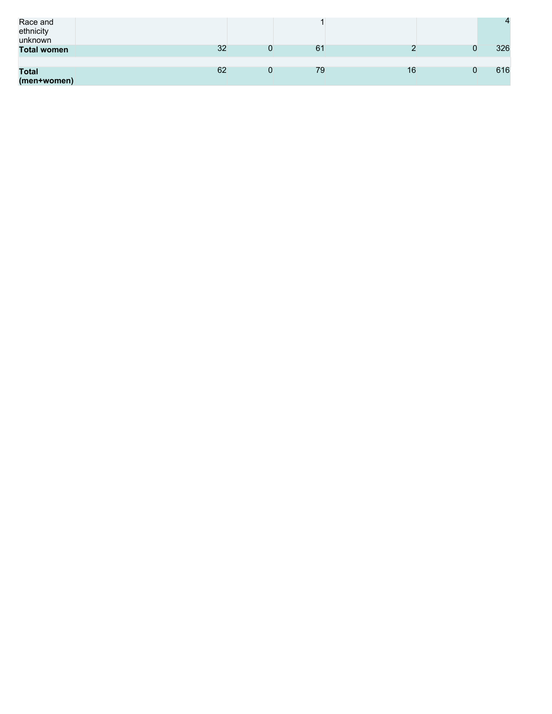| Race and<br>ethnicity<br>unknown |    |    |    | $\Delta$ |
|----------------------------------|----|----|----|----------|
| <b>Total women</b>               | 32 | 61 |    | 326      |
|                                  |    |    |    |          |
| <b>Total</b><br>(men+women)      | 62 | 79 | 16 | 616      |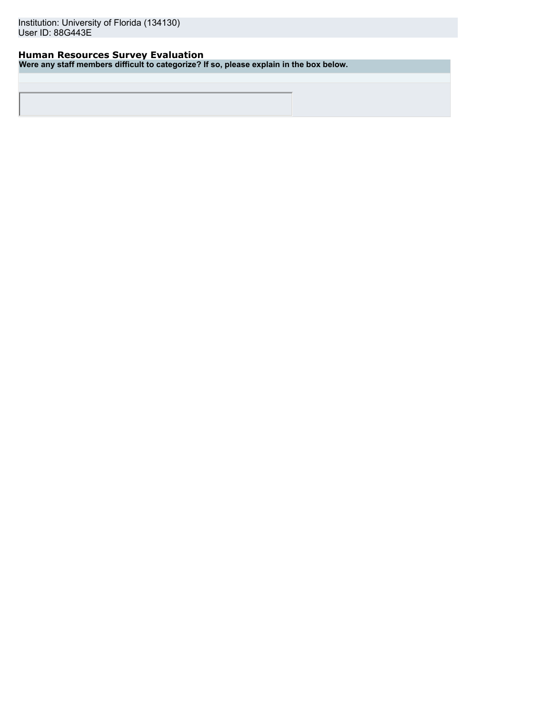## **Human Resources Survey Evaluation**

**Were any staff members difficult to categorize? If so, please explain in the box below.**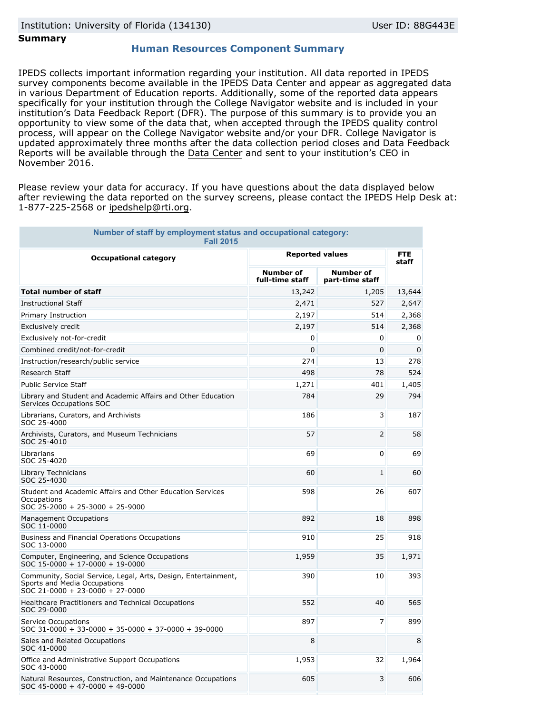## **Summary**

## **Human Resources Component Summary**

IPEDS collects important information regarding your institution. All data reported in IPEDS survey components become available in the IPEDS Data Center and appear as aggregated data in various Department of Education reports. Additionally, some of the reported data appears specifically for your institution through the College Navigator website and is included in your institution's Data Feedback Report (DFR). The purpose of this summary is to provide you an opportunity to view some of the data that, when accepted through the IPEDS quality control process, will appear on the College Navigator website and/or your DFR. College Navigator is updated approximately three months after the data collection period closes and Data Feedback Reports will be available through the [Data Center](http://nces.ed.gov/ipeds/datacenter/) and sent to your institution's CEO in November 2016.

Please review your data for accuracy. If you have questions about the data displayed below after reviewing the data reported on the survey screens, please contact the IPEDS Help Desk at: 1-877-225-2568 or ipedshelp@rti.org.

| Number of staff by employment status and occupational category:<br><b>Fall 2015</b>                                               |                                     |                                     |                     |
|-----------------------------------------------------------------------------------------------------------------------------------|-------------------------------------|-------------------------------------|---------------------|
| <b>Occupational category</b>                                                                                                      | <b>Reported values</b>              |                                     | <b>FTE</b><br>staff |
|                                                                                                                                   | <b>Number of</b><br>full-time staff | <b>Number of</b><br>part-time staff |                     |
| <b>Total number of staff</b>                                                                                                      | 13,242                              | 1,205                               | 13,644              |
| <b>Instructional Staff</b>                                                                                                        | 2,471                               | 527                                 | 2,647               |
| Primary Instruction                                                                                                               | 2,197                               | 514                                 | 2,368               |
| Exclusively credit                                                                                                                | 2,197                               | 514                                 | 2,368               |
| Exclusively not-for-credit                                                                                                        | 0                                   | 0                                   | 0                   |
| Combined credit/not-for-credit                                                                                                    | 0                                   | 0                                   | 0                   |
| Instruction/research/public service                                                                                               | 274                                 | 13                                  | 278                 |
| Research Staff                                                                                                                    | 498                                 | 78                                  | 524                 |
| <b>Public Service Staff</b>                                                                                                       | 1,271                               | 401                                 | 1,405               |
| Library and Student and Academic Affairs and Other Education<br>Services Occupations SOC                                          | 784                                 | 29                                  | 794                 |
| Librarians, Curators, and Archivists<br>SOC 25-4000                                                                               | 186                                 | 3                                   | 187                 |
| Archivists, Curators, and Museum Technicians<br>SOC 25-4010                                                                       | 57                                  | 2                                   | 58                  |
| Librarians<br>SOC 25-4020                                                                                                         | 69                                  | 0                                   | 69                  |
| Library Technicians<br>SOC 25-4030                                                                                                | 60                                  | $\mathbf{1}$                        | 60                  |
| Student and Academic Affairs and Other Education Services<br>Occupations<br>SOC 25-2000 + 25-3000 + 25-9000                       | 598                                 | 26                                  | 607                 |
| <b>Management Occupations</b><br>SOC 11-0000                                                                                      | 892                                 | 18                                  | 898                 |
| Business and Financial Operations Occupations<br>SOC 13-0000                                                                      | 910                                 | 25                                  | 918                 |
| Computer, Engineering, and Science Occupations<br>SOC 15-0000 + 17-0000 + 19-0000                                                 | 1,959                               | 35                                  | 1,971               |
| Community, Social Service, Legal, Arts, Design, Entertainment,<br>Sports and Media Occupations<br>SOC 21-0000 + 23-0000 + 27-0000 | 390                                 | 10                                  | 393                 |
| Healthcare Practitioners and Technical Occupations<br>SOC 29-0000                                                                 | 552                                 | 40                                  | 565                 |
| Service Occupations<br>$SOC$ 31-0000 + 33-0000 + 35-0000 + 37-0000 + 39-0000                                                      | 897                                 | 7                                   | 899                 |
| Sales and Related Occupations<br>SOC 41-0000                                                                                      | 8                                   |                                     | 8                   |
| Office and Administrative Support Occupations<br>SOC 43-0000                                                                      | 1,953                               | 32                                  | 1,964               |
| Natural Resources, Construction, and Maintenance Occupations<br>$SOC$ 45-0000 + 47-0000 + 49-0000                                 | 605                                 | 3                                   | 606                 |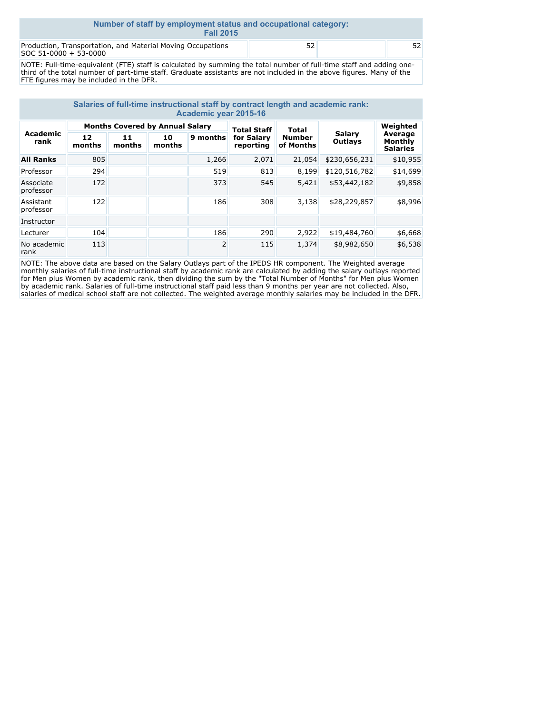| Number of staff by employment status and occupational category:<br><b>Fall 2015</b>  |    |  |    |  |  |  |
|--------------------------------------------------------------------------------------|----|--|----|--|--|--|
| Production, Transportation, and Material Moving Occupations<br>SOC 51-0000 + 53-0000 | 52 |  | 52 |  |  |  |

NOTE: Full-time-equivalent (FTE) staff is calculated by summing the total number of full-time staff and adding onethird of the total number of part-time staff. Graduate assistants are not included in the above figures. Many of the FTE figures may be included in the DFR.

| Salaries of full-time instructional staff by contract length and academic rank:<br>Academic year 2015-16 |              |                                        |              |          |                                               |                                     |                          |                                                   |
|----------------------------------------------------------------------------------------------------------|--------------|----------------------------------------|--------------|----------|-----------------------------------------------|-------------------------------------|--------------------------|---------------------------------------------------|
| Academic<br>rank                                                                                         |              | <b>Months Covered by Annual Salary</b> |              |          | <b>Total Staff</b><br>for Salary<br>reporting | Total<br><b>Number</b><br>of Months | <b>Salarv</b><br>Outlays | Weighted<br>Average<br>Monthly<br><b>Salaries</b> |
|                                                                                                          | 12<br>months | 11<br>months                           | 10<br>months | 9 months |                                               |                                     |                          |                                                   |
| <b>All Ranks</b>                                                                                         | 805          |                                        |              | 1,266    | 2,071                                         | 21,054                              | \$230,656,231            | \$10,955                                          |
| Professor                                                                                                | 294          |                                        |              | 519      | 813                                           | 8,199                               | \$120,516,782            | \$14,699                                          |
| Associate<br>professor                                                                                   | 172          |                                        |              | 373      | 545                                           | 5,421                               | \$53,442,182             | \$9,858                                           |
| Assistant<br>professor                                                                                   | 122          |                                        |              | 186      | 308                                           | 3,138                               | \$28,229,857             | \$8,996                                           |
| Instructor                                                                                               |              |                                        |              |          |                                               |                                     |                          |                                                   |
| Lecturer                                                                                                 | 104          |                                        |              | 186      | 290                                           | 2,922                               | \$19,484,760             | \$6,668                                           |
| No academic<br>rank                                                                                      | 113          |                                        |              | 2        | 115                                           | 1,374                               | \$8,982,650              | \$6,538                                           |

NOTE: The above data are based on the Salary Outlays part of the IPEDS HR component. The Weighted average monthly salaries of full-time instructional staff by academic rank are calculated by adding the salary outlays reported for Men plus Women by academic rank, then dividing the sum by the "Total Number of Months" for Men plus Women by academic rank. Salaries of full-time instructional staff paid less than 9 months per year are not collected. Also, salaries of medical school staff are not collected. The weighted average monthly salaries may be included in the DFR.